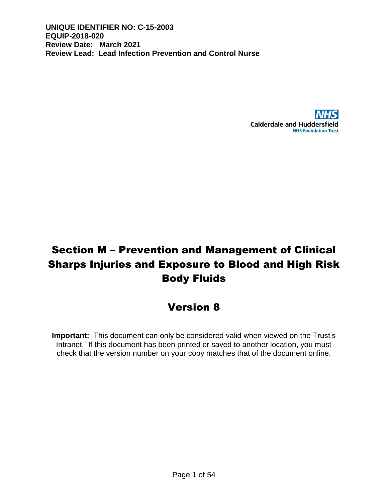

# Section M – Prevention and Management of Clinical Sharps Injuries and Exposure to Blood and High Risk Body Fluids

# Version 8

**Important:** This document can only be considered valid when viewed on the Trust's Intranet. If this document has been printed or saved to another location, you must check that the version number on your copy matches that of the document online.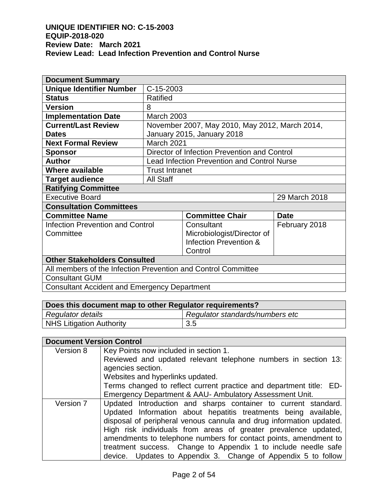| <b>Document Summary</b>                                       |                        |                                                    |               |  |
|---------------------------------------------------------------|------------------------|----------------------------------------------------|---------------|--|
| <b>Unique Identifier Number</b>                               | C-15-2003              |                                                    |               |  |
| <b>Status</b>                                                 | Ratified               |                                                    |               |  |
| <b>Version</b>                                                | 8                      |                                                    |               |  |
| <b>Implementation Date</b>                                    | <b>March 2003</b>      |                                                    |               |  |
| <b>Current/Last Review</b>                                    |                        | November 2007, May 2010, May 2012, March 2014,     |               |  |
| <b>Dates</b>                                                  |                        | January 2015, January 2018                         |               |  |
| <b>Next Formal Review</b>                                     | <b>March 2021</b>      |                                                    |               |  |
| <b>Sponsor</b>                                                |                        | Director of Infection Prevention and Control       |               |  |
| <b>Author</b>                                                 |                        | <b>Lead Infection Prevention and Control Nurse</b> |               |  |
| <b>Where available</b>                                        | <b>Trust Intranet</b>  |                                                    |               |  |
| <b>Target audience</b>                                        | <b>All Staff</b>       |                                                    |               |  |
| <b>Ratifying Committee</b>                                    |                        |                                                    |               |  |
| <b>Executive Board</b>                                        | 29 March 2018          |                                                    |               |  |
| <b>Consultation Committees</b>                                |                        |                                                    |               |  |
| <b>Committee Name</b>                                         |                        | <b>Committee Chair</b>                             | <b>Date</b>   |  |
| <b>Infection Prevention and Control</b>                       |                        | Consultant                                         | February 2018 |  |
| Committee                                                     |                        | Microbiologist/Director of                         |               |  |
|                                                               | Infection Prevention & |                                                    |               |  |
| Control                                                       |                        |                                                    |               |  |
| <b>Other Stakeholders Consulted</b>                           |                        |                                                    |               |  |
| All members of the Infection Prevention and Control Committee |                        |                                                    |               |  |
| <b>Consultant GUM</b>                                         |                        |                                                    |               |  |
| <b>Consultant Accident and Emergency Department</b>           |                        |                                                    |               |  |

| Does this document map to other Regulator requirements? |                                 |  |
|---------------------------------------------------------|---------------------------------|--|
| Regulator details                                       | Regulator standards/numbers etc |  |
| NHS Litigation Authority                                | 3.5                             |  |

| <b>Document Version Control</b> |                                                                     |
|---------------------------------|---------------------------------------------------------------------|
| Version 8                       | Key Points now included in section 1.                               |
|                                 | Reviewed and updated relevant telephone numbers in section 13:      |
|                                 | agencies section.                                                   |
|                                 | Websites and hyperlinks updated.                                    |
|                                 | Terms changed to reflect current practice and department title: ED- |
|                                 | Emergency Department & AAU- Ambulatory Assessment Unit.             |
| Version 7                       | Updated Introduction and sharps container to current standard.      |
|                                 | Updated Information about hepatitis treatments being available,     |
|                                 | disposal of peripheral venous cannula and drug information updated. |
|                                 | High risk individuals from areas of greater prevalence updated,     |
|                                 | amendments to telephone numbers for contact points, amendment to    |
|                                 | treatment success. Change to Appendix 1 to include needle safe      |
|                                 | device. Updates to Appendix 3. Change of Appendix 5 to follow       |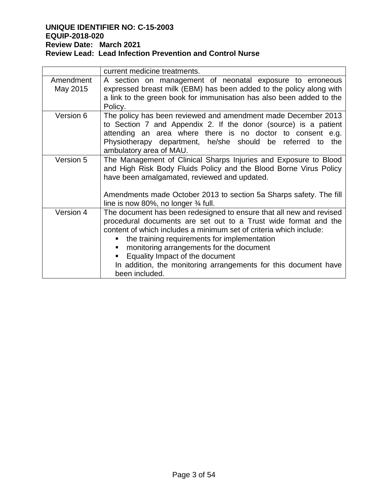|                       | current medicine treatments.                                                                                                                                                                                                                                                                                                                                                                                                     |
|-----------------------|----------------------------------------------------------------------------------------------------------------------------------------------------------------------------------------------------------------------------------------------------------------------------------------------------------------------------------------------------------------------------------------------------------------------------------|
| Amendment<br>May 2015 | A section on management of neonatal exposure to erroneous<br>expressed breast milk (EBM) has been added to the policy along with<br>a link to the green book for immunisation has also been added to the<br>Policy.                                                                                                                                                                                                              |
| Version 6             | The policy has been reviewed and amendment made December 2013<br>to Section 7 and Appendix 2. If the donor (source) is a patient<br>attending an area where there is no doctor to consent e.g.<br>Physiotherapy department, he/she should be referred to<br>the<br>ambulatory area of MAU.                                                                                                                                       |
| Version 5             | The Management of Clinical Sharps Injuries and Exposure to Blood<br>and High Risk Body Fluids Policy and the Blood Borne Virus Policy<br>have been amalgamated, reviewed and updated.<br>Amendments made October 2013 to section 5a Sharps safety. The fill<br>line is now 80%, no longer $\frac{3}{4}$ full.                                                                                                                    |
| Version 4             | The document has been redesigned to ensure that all new and revised<br>procedural documents are set out to a Trust wide format and the<br>content of which includes a minimum set of criteria which include:<br>the training requirements for implementation<br>monitoring arrangements for the document<br>Equality Impact of the document<br>In addition, the monitoring arrangements for this document have<br>been included. |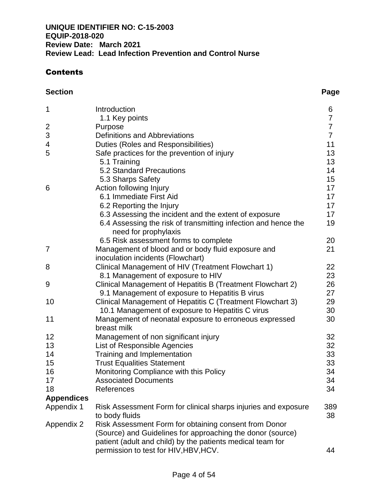# Contents

| 1                 | Introduction                                                                                                            | 6              |
|-------------------|-------------------------------------------------------------------------------------------------------------------------|----------------|
|                   | 1.1 Key points                                                                                                          | 7              |
| $\overline{2}$    | Purpose                                                                                                                 | $\overline{7}$ |
| 3                 | <b>Definitions and Abbreviations</b>                                                                                    | $\overline{7}$ |
| 4                 | Duties (Roles and Responsibilities)                                                                                     | 11             |
| 5                 | Safe practices for the prevention of injury                                                                             | 13             |
|                   | 5.1 Training                                                                                                            | 13             |
|                   | 5.2 Standard Precautions                                                                                                | 14             |
|                   | 5.3 Sharps Safety                                                                                                       | 15             |
| 6                 | Action following Injury<br>6.1 Immediate First Aid                                                                      | 17             |
|                   |                                                                                                                         | 17<br>17       |
|                   | 6.2 Reporting the Injury                                                                                                | 17             |
|                   | 6.3 Assessing the incident and the extent of exposure<br>6.4 Assessing the risk of transmitting infection and hence the | 19             |
|                   | need for prophylaxis                                                                                                    |                |
|                   | 6.5 Risk assessment forms to complete                                                                                   | 20             |
| 7                 | Management of blood and or body fluid exposure and                                                                      | 21             |
|                   | inoculation incidents (Flowchart)                                                                                       |                |
| 8                 | Clinical Management of HIV (Treatment Flowchart 1)                                                                      | 22             |
|                   | 8.1 Management of exposure to HIV                                                                                       | 23             |
| 9                 | Clinical Management of Hepatitis B (Treatment Flowchart 2)                                                              | 26             |
|                   | 9.1 Management of exposure to Hepatitis B virus                                                                         | 27             |
| 10                | Clinical Management of Hepatitis C (Treatment Flowchart 3)                                                              | 29             |
|                   | 10.1 Management of exposure to Hepatitis C virus                                                                        | 30             |
| 11                | Management of neonatal exposure to erroneous expressed                                                                  | 30             |
|                   | breast milk                                                                                                             |                |
| 12                | Management of non significant injury                                                                                    | 32             |
| 13                | List of Responsible Agencies                                                                                            | 32             |
| 14                | Training and Implementation                                                                                             | 33             |
| 15                | <b>Trust Equalities Statement</b>                                                                                       | 33             |
| 16                | Monitoring Compliance with this Policy                                                                                  | 34             |
| 17                | <b>Associated Documents</b>                                                                                             | 34             |
| 18                | References                                                                                                              | 34             |
| <b>Appendices</b> |                                                                                                                         |                |
| Appendix 1        | Risk Assessment Form for clinical sharps injuries and exposure                                                          | 389            |
|                   | to body fluids                                                                                                          | 38             |
| Appendix 2        | Risk Assessment Form for obtaining consent from Donor                                                                   |                |
|                   | (Source) and Guidelines for approaching the donor (source)                                                              |                |
|                   | patient (adult and child) by the patients medical team for                                                              |                |
|                   | permission to test for HIV, HBV, HCV.                                                                                   | 44             |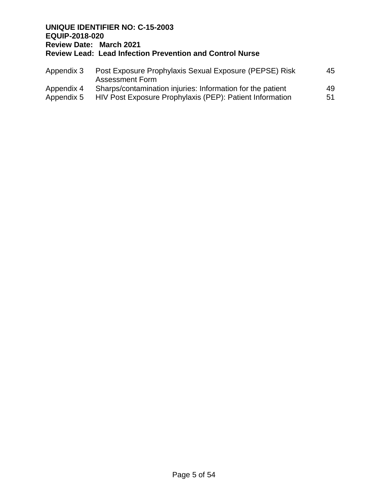| Appendix 3 | Post Exposure Prophylaxis Sexual Exposure (PEPSE) Risk<br>Assessment Form | 45 |
|------------|---------------------------------------------------------------------------|----|
| Appendix 4 | Sharps/contamination injuries: Information for the patient                | 49 |
| Appendix 5 | HIV Post Exposure Prophylaxis (PEP): Patient Information                  | 51 |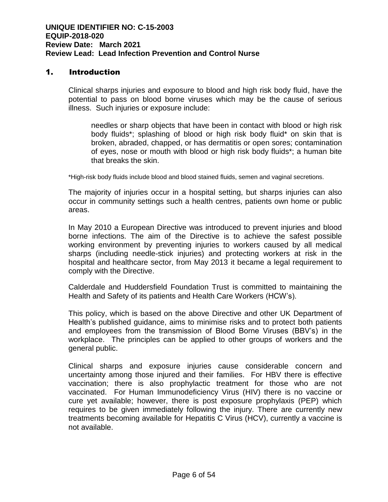# 1. Introduction

Clinical sharps injuries and exposure to blood and high risk body fluid, have the potential to pass on blood borne viruses which may be the cause of serious illness. Such injuries or exposure include:

needles or sharp objects that have been in contact with blood or high risk body fluids\*; splashing of blood or high risk body fluid\* on skin that is broken, abraded, chapped, or has dermatitis or open sores; contamination of eyes, nose or mouth with blood or high risk body fluids\*; a human bite that breaks the skin.

\*High-risk body fluids include blood and blood stained fluids, semen and vaginal secretions.

The majority of injuries occur in a hospital setting, but sharps injuries can also occur in community settings such a health centres, patients own home or public areas.

In May 2010 a European Directive was introduced to prevent injuries and blood borne infections. The aim of the Directive is to achieve the safest possible working environment by preventing injuries to workers caused by all medical sharps (including needle-stick injuries) and protecting workers at risk in the hospital and healthcare sector, from May 2013 it became a legal requirement to comply with the Directive.

Calderdale and Huddersfield Foundation Trust is committed to maintaining the Health and Safety of its patients and Health Care Workers (HCW's).

This policy, which is based on the above Directive and other UK Department of Health's published guidance, aims to minimise risks and to protect both patients and employees from the transmission of Blood Borne Viruses (BBV's) in the workplace. The principles can be applied to other groups of workers and the general public.

Clinical sharps and exposure injuries cause considerable concern and uncertainty among those injured and their families. For HBV there is effective vaccination; there is also prophylactic treatment for those who are not vaccinated. For Human Immunodeficiency Virus (HIV) there is no vaccine or cure yet available; however, there is post exposure prophylaxis (PEP) which requires to be given immediately following the injury. There are currently new treatments becoming available for Hepatitis C Virus (HCV), currently a vaccine is not available.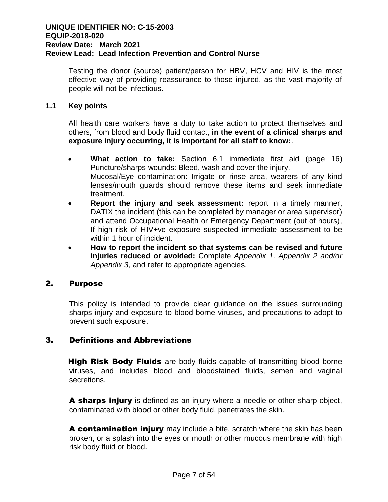Testing the donor (source) patient/person for HBV, HCV and HIV is the most effective way of providing reassurance to those injured, as the vast majority of people will not be infectious.

# **1.1 Key points**

All health care workers have a duty to take action to protect themselves and others, from blood and body fluid contact, **in the event of a clinical sharps and exposure injury occurring, it is important for all staff to know:**.

- **What action to take:** Section 6.1 immediate first aid (page 16) Puncture/sharps wounds: Bleed, wash and cover the injury. Mucosal/Eye contamination: Irrigate or rinse area, wearers of any kind lenses/mouth guards should remove these items and seek immediate treatment.
- **Report the injury and seek assessment:** report in a timely manner, DATIX the incident (this can be completed by manager or area supervisor) and attend Occupational Health or Emergency Department (out of hours), If high risk of HIV+ve exposure suspected immediate assessment to be within 1 hour of incident.
- **How to report the incident so that systems can be revised and future injuries reduced or avoided:** Complete *Appendix 1, Appendix 2 and/or Appendix 3,* and refer to appropriate agencies.

### 2. Purpose

This policy is intended to provide clear guidance on the issues surrounding sharps injury and exposure to blood borne viruses, and precautions to adopt to prevent such exposure.

# 3. Definitions and Abbreviations

**High Risk Body Fluids** are body fluids capable of transmitting blood borne viruses, and includes blood and bloodstained fluids, semen and vaginal secretions.

A sharps injury is defined as an injury where a needle or other sharp object, contaminated with blood or other body fluid, penetrates the skin.

A contamination injury may include a bite, scratch where the skin has been broken, or a splash into the eyes or mouth or other mucous membrane with high risk body fluid or blood.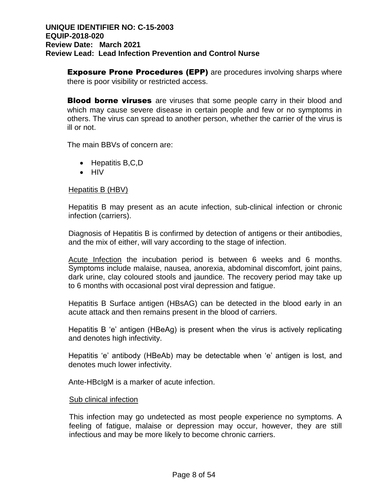**Exposure Prone Procedures (EPP)** are procedures involving sharps where there is poor visibility or restricted access.

**Blood borne viruses** are viruses that some people carry in their blood and which may cause severe disease in certain people and few or no symptoms in others. The virus can spread to another person, whether the carrier of the virus is ill or not.

The main BBVs of concern are:

- $\bullet$  Hepatitis B,C,D
- $\bullet$  HIV

#### Hepatitis B (HBV)

Hepatitis B may present as an acute infection, sub-clinical infection or chronic infection (carriers).

Diagnosis of Hepatitis B is confirmed by detection of antigens or their antibodies, and the mix of either, will vary according to the stage of infection.

Acute Infection the incubation period is between 6 weeks and 6 months. Symptoms include malaise, nausea, anorexia, abdominal discomfort, joint pains, dark urine, clay coloured stools and jaundice. The recovery period may take up to 6 months with occasional post viral depression and fatigue.

Hepatitis B Surface antigen (HBsAG) can be detected in the blood early in an acute attack and then remains present in the blood of carriers.

Hepatitis B 'e' antigen (HBeAg) is present when the virus is actively replicating and denotes high infectivity.

Hepatitis 'e' antibody (HBeAb) may be detectable when 'e' antigen is lost, and denotes much lower infectivity.

Ante-HBcIgM is a marker of acute infection.

#### Sub clinical infection

This infection may go undetected as most people experience no symptoms. A feeling of fatigue, malaise or depression may occur, however, they are still infectious and may be more likely to become chronic carriers.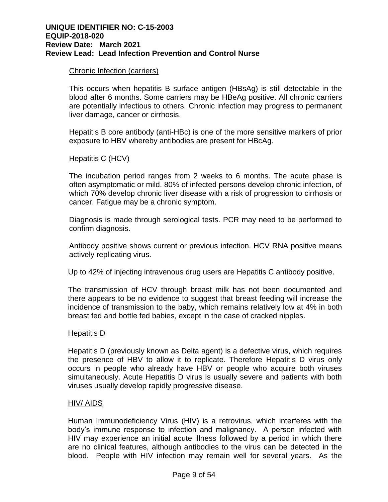#### Chronic Infection (carriers)

This occurs when hepatitis B surface antigen (HBsAg) is still detectable in the blood after 6 months. Some carriers may be HBeAg positive. All chronic carriers are potentially infectious to others. Chronic infection may progress to permanent liver damage, cancer or cirrhosis.

Hepatitis B core antibody (anti-HBc) is one of the more sensitive markers of prior exposure to HBV whereby antibodies are present for HBcAg.

#### Hepatitis C (HCV)

The incubation period ranges from 2 weeks to 6 months. The acute phase is often asymptomatic or mild. 80% of infected persons develop chronic infection, of which 70% develop chronic liver disease with a risk of progression to cirrhosis or cancer. Fatigue may be a chronic symptom.

Diagnosis is made through serological tests. PCR may need to be performed to confirm diagnosis.

Antibody positive shows current or previous infection. HCV RNA positive means actively replicating virus.

Up to 42% of injecting intravenous drug users are Hepatitis C antibody positive.

The transmission of HCV through breast milk has not been documented and there appears to be no evidence to suggest that breast feeding will increase the incidence of transmission to the baby, which remains relatively low at 4% in both breast fed and bottle fed babies, except in the case of cracked nipples.

#### Hepatitis D

Hepatitis D (previously known as Delta agent) is a defective virus, which requires the presence of HBV to allow it to replicate. Therefore Hepatitis D virus only occurs in people who already have HBV or people who acquire both viruses simultaneously. Acute Hepatitis D virus is usually severe and patients with both viruses usually develop rapidly progressive disease.

#### HIV/ AIDS

Human Immunodeficiency Virus (HIV) is a retrovirus, which interferes with the body's immune response to infection and malignancy. A person infected with HIV may experience an initial acute illness followed by a period in which there are no clinical features, although antibodies to the virus can be detected in the blood. People with HIV infection may remain well for several years. As the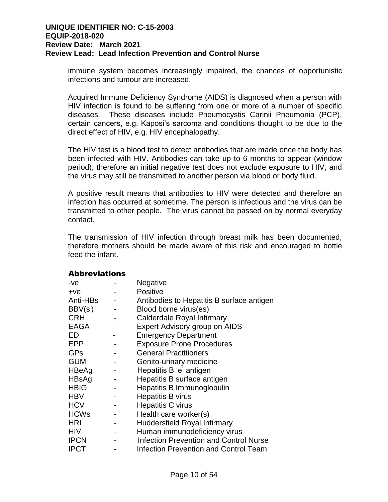immune system becomes increasingly impaired, the chances of opportunistic infections and tumour are increased.

Acquired Immune Deficiency Syndrome (AIDS) is diagnosed when a person with HIV infection is found to be suffering from one or more of a number of specific diseases. These diseases include Pneumocystis Carinii Pneumonia (PCP), certain cancers, e.g. Kaposi's sarcoma and conditions thought to be due to the direct effect of HIV, e.g. HIV encephalopathy.

The HIV test is a blood test to detect antibodies that are made once the body has been infected with HIV. Antibodies can take up to 6 months to appear (window period), therefore an initial negative test does not exclude exposure to HIV, and the virus may still be transmitted to another person via blood or body fluid.

A positive result means that antibodies to HIV were detected and therefore an infection has occurred at sometime. The person is infectious and the virus can be transmitted to other people. The virus cannot be passed on by normal everyday contact.

The transmission of HIV infection through breast milk has been documented, therefore mothers should be made aware of this risk and encouraged to bottle feed the infant.

### Abbreviations

| $-ve$       | Negative                                      |
|-------------|-----------------------------------------------|
| $+ve$       | <b>Positive</b>                               |
| Anti-HBs    | Antibodies to Hepatitis B surface antigen     |
| BBV(s)      | Blood borne virus(es)                         |
| <b>CRH</b>  | Calderdale Royal Infirmary                    |
| <b>EAGA</b> | Expert Advisory group on AIDS                 |
| ED          | <b>Emergency Department</b>                   |
| <b>EPP</b>  | <b>Exposure Prone Procedures</b>              |
| <b>GPs</b>  | <b>General Practitioners</b>                  |
| <b>GUM</b>  | Genito-urinary medicine                       |
| HBeAg       | Hepatitis B 'e' antigen                       |
| HBsAg       | Hepatitis B surface antigen                   |
| <b>HBIG</b> | Hepatitis B Immunoglobulin                    |
| <b>HBV</b>  | Hepatitis B virus                             |
| <b>HCV</b>  | <b>Hepatitis C virus</b>                      |
| <b>HCWs</b> | Health care worker(s)                         |
| <b>HRI</b>  | Huddersfield Royal Infirmary                  |
| <b>HIV</b>  | Human immunodeficiency virus                  |
| <b>IPCN</b> | <b>Infection Prevention and Control Nurse</b> |
| <b>IPCT</b> | <b>Infection Prevention and Control Team</b>  |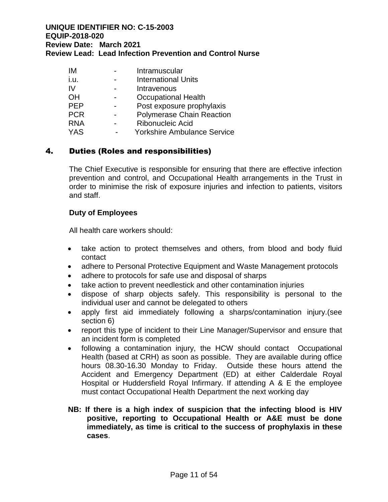| IМ         | Intramuscular                      |
|------------|------------------------------------|
| i.u.       | <b>International Units</b>         |
| IV         | Intravenous                        |
| ΟH         | <b>Occupational Health</b>         |
| <b>PEP</b> | Post exposure prophylaxis          |
| <b>PCR</b> | <b>Polymerase Chain Reaction</b>   |
| <b>RNA</b> | Ribonucleic Acid                   |
| <b>YAS</b> | <b>Yorkshire Ambulance Service</b> |

# 4. Duties (Roles and responsibilities)

The Chief Executive is responsible for ensuring that there are effective infection prevention and control, and Occupational Health arrangements in the Trust in order to minimise the risk of exposure injuries and infection to patients, visitors and staff.

#### **Duty of Employees**

All health care workers should:

- take action to protect themselves and others, from blood and body fluid contact
- adhere to Personal Protective Equipment and Waste Management protocols
- adhere to protocols for safe use and disposal of sharps
- take action to prevent needlestick and other contamination injuries
- dispose of sharp objects safely. This responsibility is personal to the individual user and cannot be delegated to others
- apply first aid immediately following a sharps/contamination injury.(see section 6)
- report this type of incident to their Line Manager/Supervisor and ensure that an incident form is completed
- following a contamination injury, the HCW should contact Occupational Health (based at CRH) as soon as possible. They are available during office hours 08.30-16.30 Monday to Friday. Outside these hours attend the Accident and Emergency Department (ED) at either Calderdale Royal Hospital or Huddersfield Royal Infirmary. If attending A & E the employee must contact Occupational Health Department the next working day
- **NB: If there is a high index of suspicion that the infecting blood is HIV positive, reporting to Occupational Health or A&E must be done immediately, as time is critical to the success of prophylaxis in these cases**.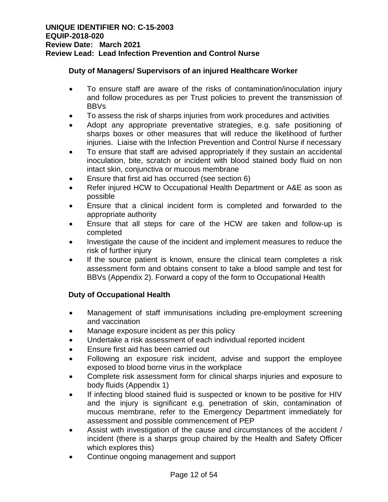# **Duty of Managers/ Supervisors of an injured Healthcare Worker**

- To ensure staff are aware of the risks of contamination/inoculation injury and follow procedures as per Trust policies to prevent the transmission of BBVs
- To assess the risk of sharps injuries from work procedures and activities
- Adopt any appropriate preventative strategies, e.g. safe positioning of sharps boxes or other measures that will reduce the likelihood of further injuries. Liaise with the Infection Prevention and Control Nurse if necessary
- To ensure that staff are advised appropriately if they sustain an accidental inoculation, bite, scratch or incident with blood stained body fluid on non intact skin, conjunctiva or mucous membrane
- Ensure that first aid has occurred (see section 6)
- Refer injured HCW to Occupational Health Department or A&E as soon as possible
- Ensure that a clinical incident form is completed and forwarded to the appropriate authority
- Ensure that all steps for care of the HCW are taken and follow-up is completed
- Investigate the cause of the incident and implement measures to reduce the risk of further injury
- If the source patient is known, ensure the clinical team completes a risk assessment form and obtains consent to take a blood sample and test for BBVs (Appendix 2). Forward a copy of the form to Occupational Health

# **Duty of Occupational Health**

- Management of staff immunisations including pre-employment screening and vaccination
- Manage exposure incident as per this policy
- Undertake a risk assessment of each individual reported incident
- Ensure first aid has been carried out
- Following an exposure risk incident, advise and support the employee exposed to blood borne virus in the workplace
- Complete risk assessment form for clinical sharps injuries and exposure to body fluids (Appendix 1)
- If infecting blood stained fluid is suspected or known to be positive for HIV and the injury is significant e.g. penetration of skin, contamination of mucous membrane, refer to the Emergency Department immediately for assessment and possible commencement of PEP
- Assist with investigation of the cause and circumstances of the accident / incident (there is a sharps group chaired by the Health and Safety Officer which explores this)
- Continue ongoing management and support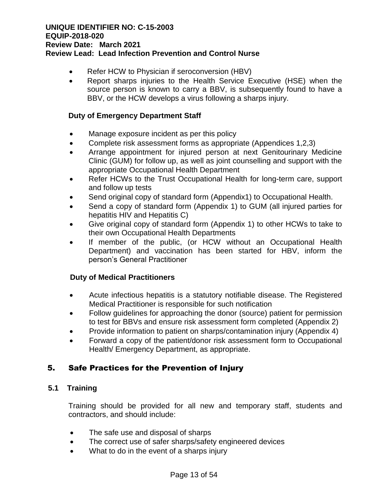- Refer HCW to Physician if seroconversion (HBV)
- Report sharps injuries to the Health Service Executive (HSE) when the source person is known to carry a BBV, is subsequently found to have a BBV, or the HCW develops a virus following a sharps injury.

#### **Duty of Emergency Department Staff**

- Manage exposure incident as per this policy
- Complete risk assessment forms as appropriate (Appendices 1,2,3)
- Arrange appointment for injured person at next Genitourinary Medicine Clinic (GUM) for follow up, as well as joint counselling and support with the appropriate Occupational Health Department
- Refer HCWs to the Trust Occupational Health for long-term care, support and follow up tests
- Send original copy of standard form (Appendix1) to Occupational Health.
- Send a copy of standard form (Appendix 1) to GUM (all injured parties for hepatitis HIV and Hepatitis C)
- Give original copy of standard form (Appendix 1) to other HCWs to take to their own Occupational Health Departments
- If member of the public, (or HCW without an Occupational Health Department) and vaccination has been started for HBV, inform the person's General Practitioner

### **Duty of Medical Practitioners**

- Acute infectious hepatitis is a statutory notifiable disease. The Registered Medical Practitioner is responsible for such notification
- Follow guidelines for approaching the donor (source) patient for permission to test for BBVs and ensure risk assessment form completed (Appendix 2)
- Provide information to patient on sharps/contamination injury (Appendix 4)
- Forward a copy of the patient/donor risk assessment form to Occupational Health/ Emergency Department, as appropriate.

# 5. Safe Practices for the Prevention of Injury

### **5.1 Training**

Training should be provided for all new and temporary staff, students and contractors, and should include:

- The safe use and disposal of sharps
- The correct use of safer sharps/safety engineered devices
- What to do in the event of a sharps injury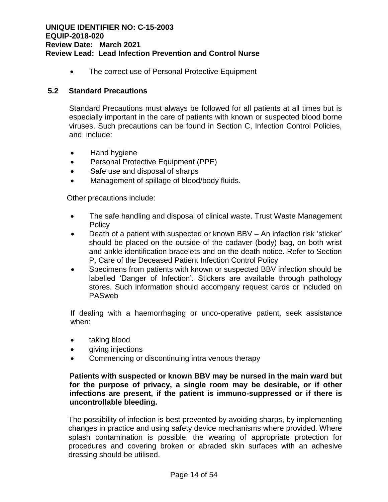• The correct use of Personal Protective Equipment

### **5.2 Standard Precautions**

Standard Precautions must always be followed for all patients at all times but is especially important in the care of patients with known or suspected blood borne viruses. Such precautions can be found in Section C, Infection Control Policies, and include:

- Hand hygiene
- Personal Protective Equipment (PPE)
- Safe use and disposal of sharps
- Management of spillage of blood/body fluids.

Other precautions include:

- The safe handling and disposal of clinical waste. Trust Waste Management **Policy**
- Death of a patient with suspected or known BBV An infection risk 'sticker' should be placed on the outside of the cadaver (body) bag, on both wrist and ankle identification bracelets and on the death notice. Refer to Section P, Care of the Deceased Patient Infection Control Policy
- Specimens from patients with known or suspected BBV infection should be labelled 'Danger of Infection'. Stickers are available through pathology stores. Such information should accompany request cards or included on PASweb

If dealing with a haemorrhaging or unco-operative patient, seek assistance when:

- taking blood
- qiving injections
- Commencing or discontinuing intra venous therapy

#### **Patients with suspected or known BBV may be nursed in the main ward but for the purpose of privacy, a single room may be desirable, or if other infections are present, if the patient is immuno-suppressed or if there is uncontrollable bleeding.**

The possibility of infection is best prevented by avoiding sharps, by implementing changes in practice and using safety device mechanisms where provided. Where splash contamination is possible, the wearing of appropriate protection for procedures and covering broken or abraded skin surfaces with an adhesive dressing should be utilised.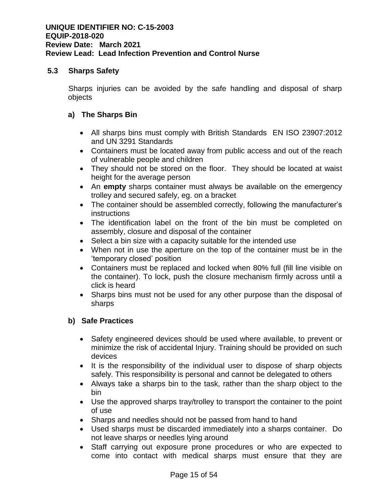### **5.3 Sharps Safety**

Sharps injuries can be avoided by the safe handling and disposal of sharp objects

# **a) The Sharps Bin**

- All sharps bins must comply with British Standards [EN ISO 23907:2012](http://shop.bsigroup.com/ProductDetail/?pid=000000000030209607) and UN 3291 Standards
- Containers must be located away from public access and out of the reach of vulnerable people and children
- They should not be stored on the floor. They should be located at waist height for the average person
- An **empty** sharps container must always be available on the emergency trolley and secured safely, eg. on a bracket
- The container should be assembled correctly, following the manufacturer's instructions
- The identification label on the front of the bin must be completed on assembly, closure and disposal of the container
- Select a bin size with a capacity suitable for the intended use
- When not in use the aperture on the top of the container must be in the 'temporary closed' position
- Containers must be replaced and locked when 80% full (fill line visible on the container). To lock, push the closure mechanism firmly across until a click is heard
- Sharps bins must not be used for any other purpose than the disposal of sharps

# **b) Safe Practices**

- Safety engineered devices should be used where available, to prevent or minimize the risk of accidental Injury. Training should be provided on such devices
- It is the responsibility of the individual user to dispose of sharp objects safely. This responsibility is personal and cannot be delegated to others
- Always take a sharps bin to the task, rather than the sharp object to the bin
- Use the approved sharps tray/trolley to transport the container to the point of use
- Sharps and needles should not be passed from hand to hand
- Used sharps must be discarded immediately into a sharps container. Do not leave sharps or needles lying around
- Staff carrying out exposure prone procedures or who are expected to come into contact with medical sharps must ensure that they are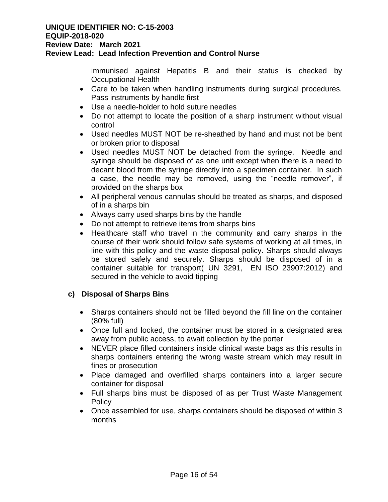#### **UNIQUE IDENTIFIER NO: C-15-2003 EQUIP-2018-020 Review Date: March 2021**

# **Review Lead: Lead Infection Prevention and Control Nurse**

immunised against Hepatitis B and their status is checked by Occupational Health

- Care to be taken when handling instruments during surgical procedures. Pass instruments by handle first
- Use a needle-holder to hold suture needles
- Do not attempt to locate the position of a sharp instrument without visual control
- Used needles MUST NOT be re-sheathed by hand and must not be bent or broken prior to disposal
- Used needles MUST NOT be detached from the syringe. Needle and syringe should be disposed of as one unit except when there is a need to decant blood from the syringe directly into a specimen container. In such a case, the needle may be removed, using the "needle remover", if provided on the sharps box
- All peripheral venous cannulas should be treated as sharps, and disposed of in a sharps bin
- Always carry used sharps bins by the handle
- Do not attempt to retrieve items from sharps bins
- Healthcare staff who travel in the community and carry sharps in the course of their work should follow safe systems of working at all times, in line with this policy and the waste disposal policy. Sharps should always be stored safely and securely. Sharps should be disposed of in a container suitable for transport( UN 3291, EN ISO [23907:2012\)](http://shop.bsigroup.com/ProductDetail/?pid=000000000030209607) and secured in the vehicle to avoid tipping

### **c) Disposal of Sharps Bins**

- Sharps containers should not be filled beyond the fill line on the container (80% full)
- Once full and locked, the container must be stored in a designated area away from public access, to await collection by the porter
- NEVER place filled containers inside clinical waste bags as this results in sharps containers entering the wrong waste stream which may result in fines or prosecution
- Place damaged and overfilled sharps containers into a larger secure container for disposal
- Full sharps bins must be disposed of as per Trust Waste Management **Policy**
- Once assembled for use, sharps containers should be disposed of within 3 months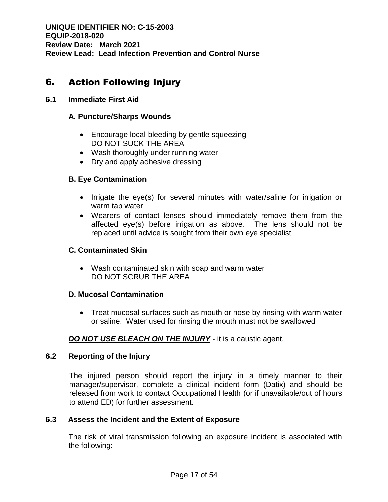# 6. Action Following Injury

# **6.1 Immediate First Aid**

# **A. Puncture/Sharps Wounds**

- Encourage local bleeding by gentle squeezing DO NOT SUCK THE AREA
- Wash thoroughly under running water
- Dry and apply adhesive dressing

# **B. Eye Contamination**

- Irrigate the eye(s) for several minutes with water/saline for irrigation or warm tap water
- Wearers of contact lenses should immediately remove them from the affected eye(s) before irrigation as above. The lens should not be replaced until advice is sought from their own eye specialist

# **C. Contaminated Skin**

 Wash contaminated skin with soap and warm water DO NOT SCRUB THE AREA

### **D. Mucosal Contamination**

• Treat mucosal surfaces such as mouth or nose by rinsing with warm water or saline. Water used for rinsing the mouth must not be swallowed

# *DO NOT USE BLEACH ON THE INJURY* - it is a caustic agent.

### **6.2 Reporting of the Injury**

The injured person should report the injury in a timely manner to their manager/supervisor, complete a clinical incident form (Datix) and should be released from work to contact Occupational Health (or if unavailable/out of hours to attend ED) for further assessment.

### **6.3 Assess the Incident and the Extent of Exposure**

The risk of viral transmission following an exposure incident is associated with the following: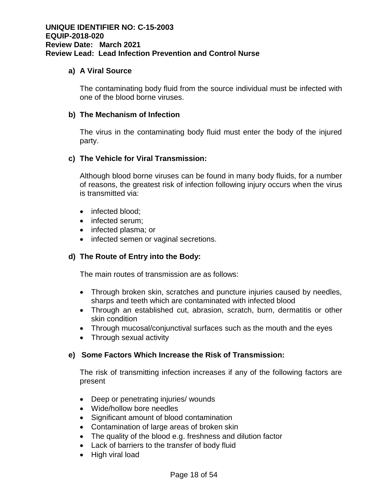#### **a) A Viral Source**

The contaminating body fluid from the source individual must be infected with one of the blood borne viruses.

#### **b) The Mechanism of Infection**

The virus in the contaminating body fluid must enter the body of the injured party.

#### **c) The Vehicle for Viral Transmission:**

Although blood borne viruses can be found in many body fluids, for a number of reasons, the greatest risk of infection following injury occurs when the virus is transmitted via:

- infected blood:
- infected serum;
- infected plasma; or
- infected semen or vaginal secretions.

### **d) The Route of Entry into the Body:**

The main routes of transmission are as follows:

- Through broken skin, scratches and puncture injuries caused by needles, sharps and teeth which are contaminated with infected blood
- Through an established cut, abrasion, scratch, burn, dermatitis or other skin condition
- Through mucosal/conjunctival surfaces such as the mouth and the eyes
- Through sexual activity

### **e) Some Factors Which Increase the Risk of Transmission:**

The risk of transmitting infection increases if any of the following factors are present

- Deep or penetrating injuries/ wounds
- Wide/hollow bore needles
- Significant amount of blood contamination
- Contamination of large areas of broken skin
- The quality of the blood e.g. freshness and dilution factor
- Lack of barriers to the transfer of body fluid
- High viral load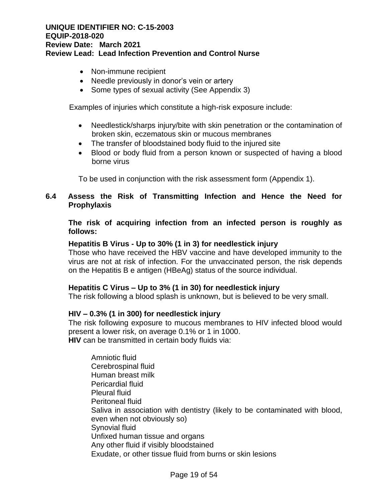- Non-immune recipient
- Needle previously in donor's vein or artery
- Some types of sexual activity (See Appendix 3)

Examples of injuries which constitute a high-risk exposure include:

- Needlestick/sharps injury/bite with skin penetration or the contamination of broken skin, eczematous skin or mucous membranes
- The transfer of bloodstained body fluid to the injured site
- Blood or body fluid from a person known or suspected of having a blood borne virus

To be used in conjunction with the risk assessment form (Appendix 1).

### **6.4 Assess the Risk of Transmitting Infection and Hence the Need for Prophylaxis**

**The risk of acquiring infection from an infected person is roughly as follows:**

#### **Hepatitis B Virus - Up to 30% (1 in 3) for needlestick injury**

Those who have received the HBV vaccine and have developed immunity to the virus are not at risk of infection. For the unvaccinated person, the risk depends on the Hepatitis B e antigen (HBeAg) status of the source individual.

#### **Hepatitis C Virus – Up to 3% (1 in 30) for needlestick injury**

The risk following a blood splash is unknown, but is believed to be very small.

#### **HIV – 0.3% (1 in 300) for needlestick injury**

The risk following exposure to mucous membranes to HIV infected blood would present a lower risk, on average 0.1% or 1 in 1000. **HIV** can be transmitted in certain body fluids via:

Amniotic fluid Cerebrospinal fluid Human breast milk Pericardial fluid Pleural fluid Peritoneal fluid Saliva in association with dentistry (likely to be contaminated with blood, even when not obviously so) Synovial fluid Unfixed human tissue and organs Any other fluid if visibly bloodstained Exudate, or other tissue fluid from burns or skin lesions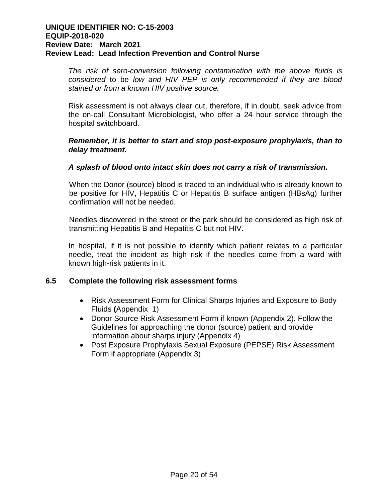*The risk of sero-conversion following contamination with the above fluids is considered* to be *low and HIV PEP is only recommended if they are blood stained or from a known HIV positive source.* 

Risk assessment is not always clear cut, therefore, if in doubt, seek advice from the on-call Consultant Microbiologist, who offer a 24 hour service through the hospital switchboard.

### *Remember, it is better to start and stop post-exposure prophylaxis, than to delay treatment.*

### *A splash of blood onto intact skin does not carry a risk of transmission.*

When the Donor (source) blood is traced to an individual who is already known to be positive for HIV, Hepatitis C or Hepatitis B surface antigen (HBsAg) further confirmation will not be needed.

Needles discovered in the street or the park should be considered as high risk of transmitting Hepatitis B and Hepatitis C but not HIV.

In hospital, if it is not possible to identify which patient relates to a particular needle, treat the incident as high risk if the needles come from a ward with known high-risk patients in it.

# **6.5 Complete the following risk assessment forms**

- Risk Assessment Form for Clinical Sharps Injuries and Exposure to Body Fluids **(**Appendix 1)
- Donor Source Risk Assessment Form if known (Appendix 2). Follow the Guidelines for approaching the donor (source) patient and provide information about sharps injury (Appendix 4)
- Post Exposure Prophylaxis Sexual Exposure (PEPSE) Risk Assessment Form if appropriate (Appendix 3)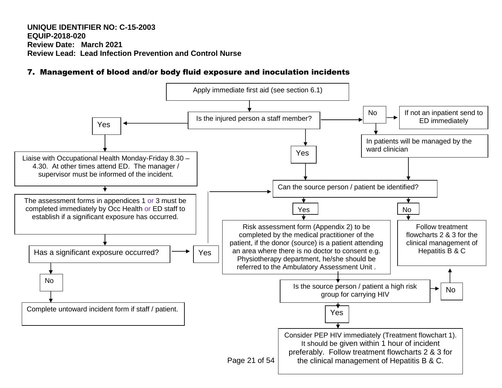# 7. Management of blood and/or body fluid exposure and inoculation incidents

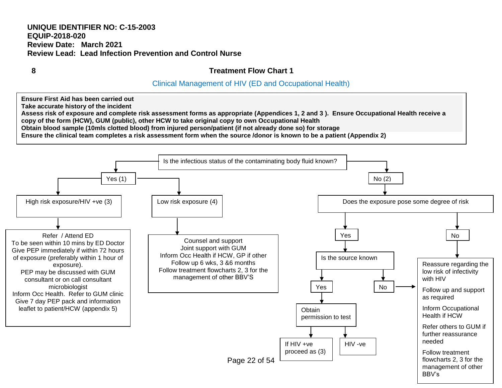**8 Treatment Flow Chart 1**

# Clinical Management of HIV (ED and Occupational Health)

**Ensure First Aid has been carried out Take accurate history of the incident** 

**Assess risk of exposure and complete risk assessment forms as appropriate (Appendices 1, 2 and 3 ). Ensure Occupational Health receive a copy of the form (HCW), GUM (public), other HCW to take original copy to own Occupational Health** 

**Obtain blood sample (10mls clotted blood) from injured person/patient (if not already done so) for storage**

**Ensure the clinical team completes a risk assessment form when the source /donor is known to be a patient (Appendix 2)**

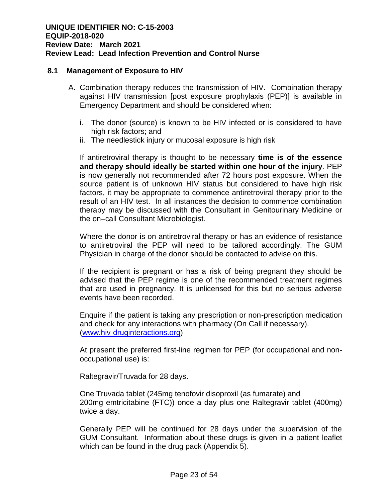#### **8.1 Management of Exposure to HIV**

- A. Combination therapy reduces the transmission of HIV. Combination therapy against HIV transmission [post exposure prophylaxis (PEP)] is available in Emergency Department and should be considered when:
	- i. The donor (source) is known to be HIV infected or is considered to have high risk factors; and
	- ii. The needlestick injury or mucosal exposure is high risk

If antiretroviral therapy is thought to be necessary **time is of the essence and therapy should ideally be started within one hour of the injury**. PEP is now generally not recommended after 72 hours post exposure. When the source patient is of unknown HIV status but considered to have high risk factors, it may be appropriate to commence antiretroviral therapy prior to the result of an HIV test. In all instances the decision to commence combination therapy may be discussed with the Consultant in Genitourinary Medicine or the on–call Consultant Microbiologist.

Where the donor is on antiretroviral therapy or has an evidence of resistance to antiretroviral the PEP will need to be tailored accordingly. The GUM Physician in charge of the donor should be contacted to advise on this.

If the recipient is pregnant or has a risk of being pregnant they should be advised that the PEP regime is one of the recommended treatment regimes that are used in pregnancy. It is unlicensed for this but no serious adverse events have been recorded.

Enquire if the patient is taking any prescription or non-prescription medication and check for any interactions with pharmacy (On Call if necessary). [\(www.hiv-druginteractions.org\)](http://www.hiv-druginteractions.org/)

At present the preferred first-line regimen for PEP (for occupational and nonoccupational use) is:

Raltegravir/Truvada for 28 days.

One Truvada tablet (245mg tenofovir disoproxil (as fumarate) and 200mg emtricitabine (FTC)) once a day plus one Raltegravir tablet (400mg) twice a day.

Generally PEP will be continued for 28 days under the supervision of the GUM Consultant. Information about these drugs is given in a patient leaflet which can be found in the drug pack (Appendix 5).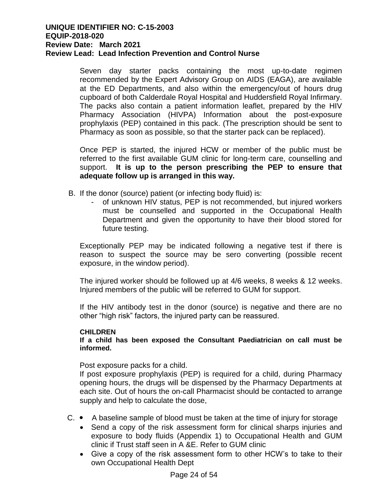Seven day starter packs containing the most up-to-date regimen recommended by the Expert Advisory Group on AIDS (EAGA), are available at the ED Departments, and also within the emergency/out of hours drug cupboard of both Calderdale Royal Hospital and Huddersfield Royal Infirmary. The packs also contain a patient information leaflet, prepared by the HIV Pharmacy Association (HIVPA) Information about the post-exposure prophylaxis (PEP) contained in this pack. (The prescription should be sent to Pharmacy as soon as possible, so that the starter pack can be replaced).

Once PEP is started, the injured HCW or member of the public must be referred to the first available GUM clinic for long-term care, counselling and support. **It is up to the person prescribing the PEP to ensure that adequate follow up is arranged in this way.**

- B. If the donor (source) patient (or infecting body fluid) is:
	- of unknown HIV status, PEP is not recommended, but injured workers must be counselled and supported in the Occupational Health Department and given the opportunity to have their blood stored for future testing.

Exceptionally PEP may be indicated following a negative test if there is reason to suspect the source may be sero converting (possible recent exposure, in the window period).

The injured worker should be followed up at 4/6 weeks, 8 weeks & 12 weeks. Injured members of the public will be referred to GUM for support.

If the HIV antibody test in the donor (source) is negative and there are no other "high risk" factors, the injured party can be reassured.

### **CHILDREN**

**If a child has been exposed the Consultant Paediatrician on call must be informed.**

Post exposure packs for a child.

If post exposure prophylaxis (PEP) is required for a child, during Pharmacy opening hours, the drugs will be dispensed by the Pharmacy Departments at each site. Out of hours the on-call Pharmacist should be contacted to arrange supply and help to calculate the dose,

- $C.$   $\bullet$  A baseline sample of blood must be taken at the time of injury for storage
	- Send a copy of the risk assessment form for clinical sharps injuries and exposure to body fluids (Appendix 1) to Occupational Health and GUM clinic if Trust staff seen in A &E. Refer to GUM clinic
	- Give a copy of the risk assessment form to other HCW's to take to their own Occupational Health Dept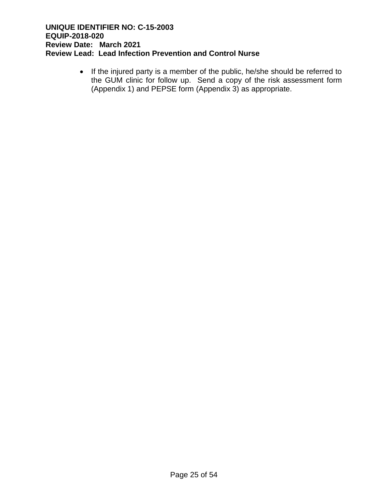• If the injured party is a member of the public, he/she should be referred to the GUM clinic for follow up. Send a copy of the risk assessment form (Appendix 1) and PEPSE form (Appendix 3) as appropriate.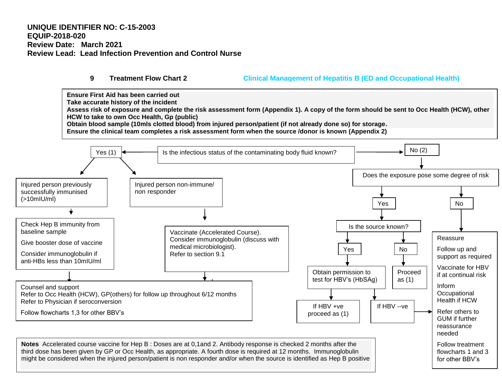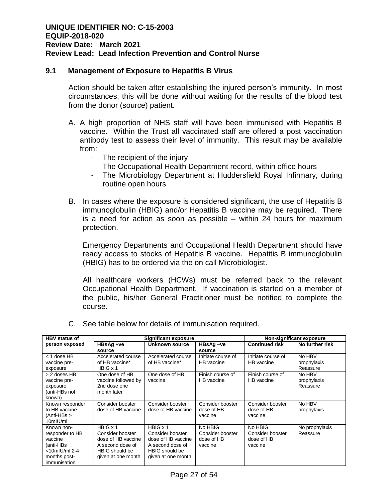#### **9.1 Management of Exposure to Hepatitis B Virus**

Action should be taken after establishing the injured person's immunity. In most circumstances, this will be done without waiting for the results of the blood test from the donor (source) patient.

- A. A high proportion of NHS staff will have been immunised with Hepatitis B vaccine. Within the Trust all vaccinated staff are offered a post vaccination antibody test to assess their level of immunity. This result may be available from:
	- The recipient of the injury
	- The Occupational Health Department record, within office hours
	- The Microbiology Department at Huddersfield Royal Infirmary, during routine open hours
- B. In cases where the exposure is considered significant, the use of Hepatitis B immunoglobulin (HBIG) and/or Hepatitis B vaccine may be required. There is a need for action as soon as possible – within 24 hours for maximum protection.

Emergency Departments and Occupational Health Department should have ready access to stocks of Hepatitis B vaccine. Hepatitis B immunoglobulin (HBIG) has to be ordered via the on call Microbiologist.

All healthcare workers (HCWs) must be referred back to the relevant Occupational Health Department. If vaccination is started on a member of the public, his/her General Practitioner must be notified to complete the course.

| <b>HBV</b> status of | <b>Significant exposure</b> |                       |                    | Non-significant exposure |                 |
|----------------------|-----------------------------|-----------------------|--------------------|--------------------------|-----------------|
| person exposed       | HBsAg +ve                   | Unknown source        | HBsAg-ve           | <b>Continued risk</b>    | No further risk |
|                      | source                      |                       | source             |                          |                 |
| < 1 dose HB          | Accelerated course          | Accelerated course    | Initiate course of | Initiate course of       | No HBV          |
| vaccine pre-         | of HB vaccine*              | of HB vaccine*        | HB vaccine         | HB vaccine               | prophylaxis     |
| exposure             | $H BIG \times 1$            |                       |                    |                          | Reassure        |
| > 2 doses HB         | One dose of HB              | One dose of HB        | Finish course of   | Finish course of         | No HBV          |
| vaccine pre-         | vaccine followed by         | vaccine               | HB vaccine         | HB vaccine               | prophylaxis     |
| exposure             | 2nd dose one                |                       |                    |                          | Reassure        |
| (anti-HBs not        | month later                 |                       |                    |                          |                 |
| known)               |                             |                       |                    |                          |                 |
| Known responder      | Consider booster            | Consider booster      | Consider booster   | Consider booster         | No HBV          |
| to HB vaccine        | dose of HB vaccine          | dose of HB vaccine    | dose of HB         | dose of HB               | prophylaxis     |
| (Anti-HBs >          |                             |                       | vaccine            | vaccine                  |                 |
| 10mIU/ml             |                             |                       |                    |                          |                 |
| Known non-           | $H BIG \times 1$            | $H BIG \times 1$      | No HBIG            | No HBIG                  | No prophylaxis  |
| responder to HB      | Consider booster            | Consider booster      | Consider booster   | Consider booster         | Reassure        |
| vaccine              | dose of HB vaccine          | dose of HB vaccine    | dose of HB         | dose of HB               |                 |
| (anti-HBs            | A second dose of            | A second dose of      | vaccine            | vaccine                  |                 |
| <10mlU/ml 2-4        | <b>HBIG</b> should be       | <b>HBIG</b> should be |                    |                          |                 |
| months post-         | given at one month          | given at one month    |                    |                          |                 |
| immunisation         |                             |                       |                    |                          |                 |

C. See table below for details of immunisation required.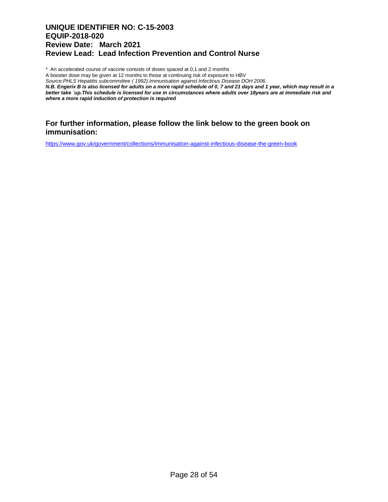\* An accelerated course of vaccine consists of doses spaced at 0,1 and 2 months

A booster dose may be given at 12 months to those at continuing risk of exposure to HBV

*Source:PHLS Hepatitis subcommittee ( 1992).Immunisation against Infectious Disease DOH 2006.*

*N.B. Engerix B is also licensed for adults on a more rapid schedule of 0, 7 and 21 days and 1 year, which may result in a better take `up.This schedule is licensed for use in circumstances where adults over 18years are at immediate risk and where a more rapid induction of protection is required*

#### **For further information, please follow the link below to the green book on immunisation:**

<https://www.gov.uk/government/collections/immunisation-against-infectious-disease-the-green-book>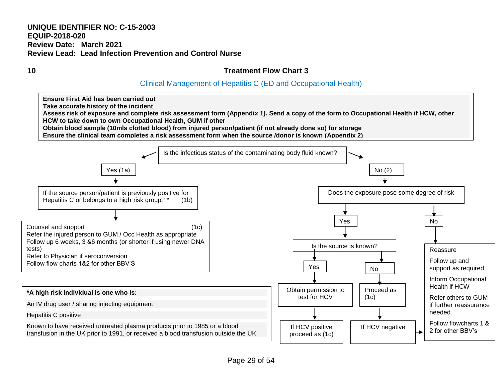# **10 Treatment Flow Chart 3**

# Clinical Management of Hepatitis C (ED and Occupational Health)

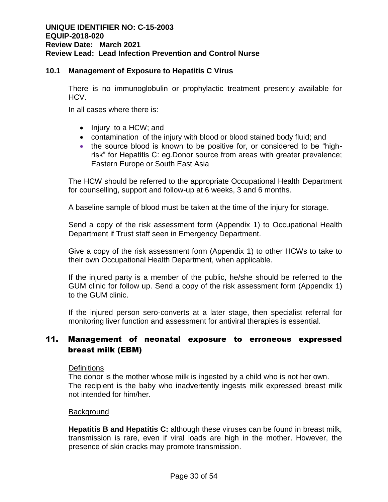# **10.1 Management of Exposure to Hepatitis C Virus**

There is no immunoglobulin or prophylactic treatment presently available for HCV.

In all cases where there is:

- Injury to a HCW; and
- contamination of the injury with blood or blood stained body fluid; and
- the source blood is known to be positive for, or considered to be "highrisk" for Hepatitis C: eg.Donor source from areas with greater prevalence; Eastern Europe or South East Asia

The HCW should be referred to the appropriate Occupational Health Department for counselling, support and follow-up at 6 weeks, 3 and 6 months.

A baseline sample of blood must be taken at the time of the injury for storage.

Send a copy of the risk assessment form (Appendix 1) to Occupational Health Department if Trust staff seen in Emergency Department.

Give a copy of the risk assessment form (Appendix 1) to other HCWs to take to their own Occupational Health Department, when applicable.

If the injured party is a member of the public, he/she should be referred to the GUM clinic for follow up. Send a copy of the risk assessment form (Appendix 1) to the GUM clinic.

If the injured person sero-converts at a later stage, then specialist referral for monitoring liver function and assessment for antiviral therapies is essential.

# 11. Management of neonatal exposure to erroneous expressed breast milk (EBM)

**Definitions** 

The donor is the mother whose milk is ingested by a child who is not her own. The recipient is the baby who inadvertently ingests milk expressed breast milk not intended for him/her.

### **Background**

**Hepatitis B and Hepatitis C:** although these viruses can be found in breast milk, transmission is rare, even if viral loads are high in the mother. However, the presence of skin cracks may promote transmission.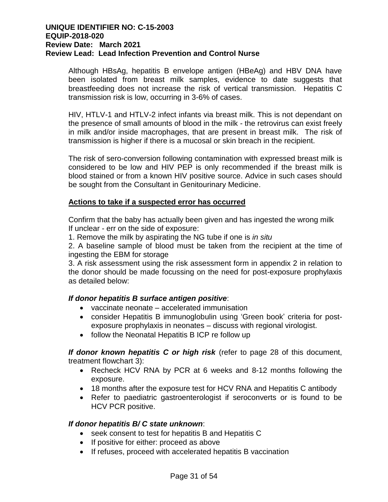Although HBsAg, hepatitis B envelope antigen (HBeAg) and HBV DNA have been isolated from breast milk samples, evidence to date suggests that breastfeeding does not increase the risk of vertical transmission. Hepatitis C transmission risk is low, occurring in 3-6% of cases.

HIV, HTLV-1 and HTLV-2 infect infants via breast milk. This is not dependant on the presence of small amounts of blood in the milk - the retrovirus can exist freely in milk and/or inside macrophages, that are present in breast milk. The risk of transmission is higher if there is a mucosal or skin breach in the recipient.

The risk of sero-conversion following contamination with expressed breast milk is considered to be low and HIV PEP is only recommended if the breast milk is blood stained or from a known HIV positive source. Advice in such cases should be sought from the Consultant in Genitourinary Medicine.

#### **Actions to take if a suspected error has occurred**

Confirm that the baby has actually been given and has ingested the wrong milk If unclear - err on the side of exposure:

1. Remove the milk by aspirating the NG tube if one is *in situ*

2. A baseline sample of blood must be taken from the recipient at the time of ingesting the EBM for storage

3. A risk assessment using the risk assessment form in appendix 2 in relation to the donor should be made focussing on the need for post-exposure prophylaxis as detailed below:

### *If donor hepatitis B surface antigen positive*:

- vaccinate neonate accelerated immunisation
- consider Hepatitis B immunoglobulin using 'Green book' criteria for postexposure prophylaxis in neonates – discuss with regional virologist.
- follow the Neonatal Hepatitis B ICP re follow up

*If donor known hepatitis C or high risk* (refer to page 28 of this document, treatment flowchart 3):

- Recheck HCV RNA by PCR at 6 weeks and 8-12 months following the exposure.
- 18 months after the exposure test for HCV RNA and Hepatitis C antibody
- Refer to paediatric gastroenterologist if seroconverts or is found to be HCV PCR positive.

### *If donor hepatitis B/ C state unknown*:

- seek consent to test for hepatitis B and Hepatitis C
- If positive for either: proceed as above
- If refuses, proceed with accelerated hepatitis B vaccination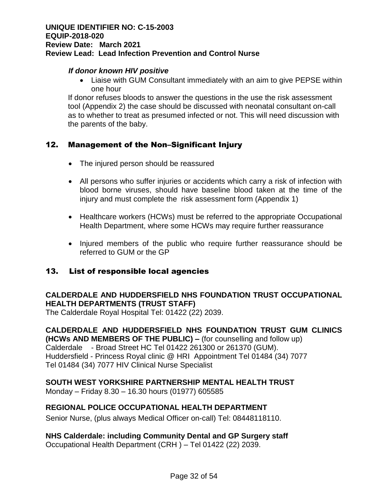### *If donor known HIV positive*

 Liaise with GUM Consultant immediately with an aim to give PEPSE within one hour

If donor refuses bloods to answer the questions in the use the risk assessment tool (Appendix 2) the case should be discussed with neonatal consultant on-call as to whether to treat as presumed infected or not. This will need discussion with the parents of the baby.

# 12. Management of the Non–Significant Injury

- The injured person should be reassured
- All persons who suffer injuries or accidents which carry a risk of infection with blood borne viruses, should have baseline blood taken at the time of the injury and must complete the risk assessment form (Appendix 1)
- Healthcare workers (HCWs) must be referred to the appropriate Occupational Health Department, where some HCWs may require further reassurance
- Injured members of the public who require further reassurance should be referred to GUM or the GP

### 13. List of responsible local agencies

# **CALDERDALE AND HUDDERSFIELD NHS FOUNDATION TRUST OCCUPATIONAL HEALTH DEPARTMENTS (TRUST STAFF)**

The Calderdale Royal Hospital Tel: 01422 (22) 2039.

**CALDERDALE AND HUDDERSFIELD NHS FOUNDATION TRUST GUM CLINICS (HCWs AND MEMBERS OF THE PUBLIC) –** (for counselling and follow up) Calderdale - Broad Street HC Tel 01422 261300 or 261370 (GUM). Huddersfield - Princess Royal clinic @ HRI Appointment Tel 01484 (34) 7077 Tel 01484 (34) 7077 HIV Clinical Nurse Specialist

### **SOUTH WEST YORKSHIRE PARTNERSHIP MENTAL HEALTH TRUST**

Monday – Friday 8.30 – 16.30 hours (01977) 605585

### **REGIONAL POLICE OCCUPATIONAL HEALTH DEPARTMENT**

Senior Nurse, (plus always Medical Officer on-call) Tel: 08448118110.

### **NHS Calderdale: including Community Dental and GP Surgery staff**

Occupational Health Department (CRH ) – Tel 01422 (22) 2039.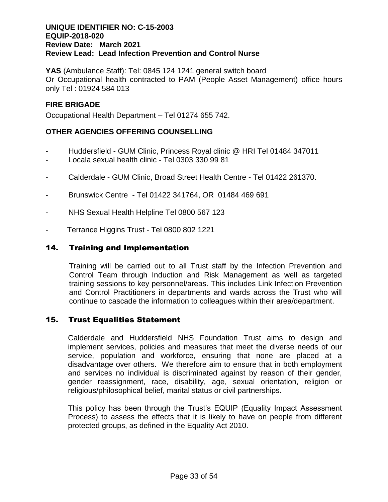**YAS** (Ambulance Staff): Tel: 0845 124 1241 general switch board Or Occupational health contracted to PAM (People Asset Management) office hours only Tel : 01924 584 013

# **FIRE BRIGADE**

Occupational Health Department – Tel 01274 655 742.

### **OTHER AGENCIES OFFERING COUNSELLING**

- Huddersfield GUM Clinic, Princess Royal clinic @ HRI Tel 01484 347011
- Locala sexual health clinic Tel 0303 330 99 81
- Calderdale GUM Clinic, Broad Street Health Centre Tel 01422 261370.
- Brunswick Centre Tel 01422 341764, OR 01484 469 691
- NHS Sexual Health Helpline Tel 0800 567 123
- Terrance Higgins Trust Tel 0800 802 1221

### 14. Training and Implementation

Training will be carried out to all Trust staff by the Infection Prevention and Control Team through Induction and Risk Management as well as targeted training sessions to key personnel/areas. This includes Link Infection Prevention and Control Practitioners in departments and wards across the Trust who will continue to cascade the information to colleagues within their area/department.

### 15. Trust Equalities Statement

Calderdale and Huddersfield NHS Foundation Trust aims to design and implement services, policies and measures that meet the diverse needs of our service, population and workforce, ensuring that none are placed at a disadvantage over others. We therefore aim to ensure that in both employment and services no individual is discriminated against by reason of their gender, gender reassignment, race, disability, age, sexual orientation, religion or religious/philosophical belief, marital status or civil partnerships.

This policy has been through the Trust's EQUIP (Equality Impact Assessment Process) to assess the effects that it is likely to have on people from different protected groups, as defined in the Equality Act 2010.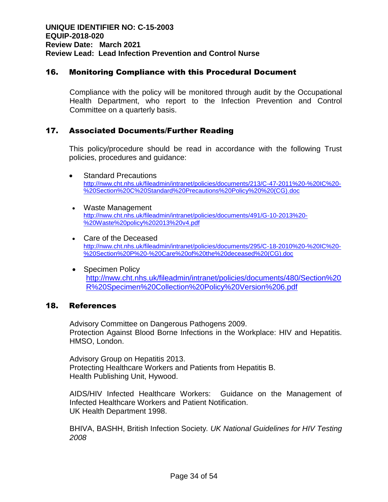# 16. Monitoring Compliance with this Procedural Document

Compliance with the policy will be monitored through audit by the Occupational Health Department, who report to the Infection Prevention and Control Committee on a quarterly basis.

# 17. Associated Documents/Further Reading

This policy/procedure should be read in accordance with the following Trust policies, procedures and guidance:

- Standard Precautions http://nww.cht.nhs.uk/fileadmin/intranet/policies/documents/213/C-47-2011%20-%20IC%20- %20Section%20C%20Standard%20Precautions%20Policy%20%20(CG).doc
- Waste Management [http://nww.cht.nhs.uk/fileadmin/intranet/policies/documents/491/G-10-2013%20-](http://nww.cht.nhs.uk/fileadmin/intranet/policies/documents/491/G-10-2013%20-%20Waste%20policy%202013%20v4.pdf) [%20Waste%20policy%202013%20v4.pdf](http://nww.cht.nhs.uk/fileadmin/intranet/policies/documents/491/G-10-2013%20-%20Waste%20policy%202013%20v4.pdf)
- Care of the Deceased http://nww.cht.nhs.uk/fileadmin/intranet/policies/documents/295/C-18-2010%20-%20IC%20- %20Section%20P%20-%20Care%20of%20the%20deceased%20(CG).doc
- Specimen Policy [http://nww.cht.nhs.uk/fileadmin/intranet/policies/documents/480/Section%20](http://nww.cht.nhs.uk/fileadmin/intranet/policies/documents/480/Section%20R%20Specimen%20Collection%20Policy%20Version%206.pdf) [R%20Specimen%20Collection%20Policy%20Version%206.pdf](http://nww.cht.nhs.uk/fileadmin/intranet/policies/documents/480/Section%20R%20Specimen%20Collection%20Policy%20Version%206.pdf)

### 18. References

Advisory Committee on Dangerous Pathogens 2009. Protection Against Blood Borne Infections in the Workplace: HIV and Hepatitis. HMSO, London.

Advisory Group on Hepatitis 2013. Protecting Healthcare Workers and Patients from Hepatitis B. Health Publishing Unit, Hywood.

AIDS/HIV Infected Healthcare Workers: Guidance on the Management of Infected Healthcare Workers and Patient Notification. UK Health Department 1998.

BHIVA, BASHH, British Infection Society*. UK National Guidelines for HIV Testing 2008*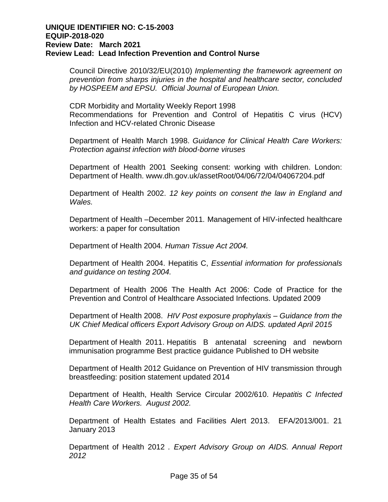Council Directive 2010/32/EU(2010) *Implementing the framework agreement on prevention from sharps injuries in the hospital and healthcare sector, concluded by HOSPEEM and EPSU. Official Journal of European Union.*

CDR Morbidity and Mortality Weekly Report 1998 Recommendations for Prevention and Control of Hepatitis C virus (HCV) Infection and HCV-related Chronic Disease

Department of Health March 1998. *Guidance for Clinical Health Care Workers: Protection against infection with blood-borne viruses*

Department of Health 2001 Seeking consent: working with children. London: Department of Health. www.dh.gov.uk/assetRoot/04/06/72/04/04067204.pdf

Department of Health 2002. *12 key points on consent the law in England and Wales.*

Department of Health –December 2011*.* Management of HIV-infected healthcare workers: a paper for consultation

Department of Health 2004*. Human Tissue Act 2004.*

Department of Health 2004. Hepatitis C, *Essential information for professionals and guidance on testing 2004.*

Department of Health 2006 The Health Act 2006: Code of Practice for the Prevention and Control of Healthcare Associated Infections. Updated 2009

Department of Health 2008. *HIV Post exposure prophylaxis – Guidance from the UK Chief Medical officers Export Advisory Group on AIDS. updated April 2015*

Department of Health 2011. Hepatitis B antenatal screening and newborn immunisation programme Best practice guidance Published to DH website

Department of Health 2012 Guidance on Prevention of HIV transmission through breastfeeding: position statement updated 2014

Department of Health, Health Service Circular 2002/610*. Hepatitis C Infected Health Care Workers. August 2002.*

Department of Health Estates and Facilities Alert 2013. EFA/2013/001. 21 January 2013

Department of Health 2012 *. Expert Advisory Group on AIDS. Annual Report 2012*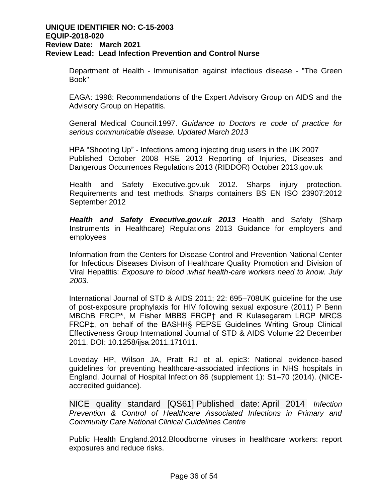Department of Health - Immunisation against infectious disease - "The Green Book"

EAGA: 1998: Recommendations of the Expert Advisory Group on AIDS and the Advisory Group on Hepatitis.

General Medical Council.1997. *Guidance to Doctors re code of practice for serious communicable disease. Updated March 2013*

HPA "Shooting Up" - Infections among injecting drug users in the UK 2007 Published October 2008 HSE 2013 Reporting of Injuries, Diseases and Dangerous Occurrences Regulations 2013 (RIDDOR) October 2013.gov.uk

Health and Safety Executive.gov.uk 2012. Sharps injury protection. Requirements and test methods. Sharps containers BS EN ISO 23907:2012 September 2012

*Health and Safety Executive.gov.uk 2013* Health and Safety (Sharp Instruments in Healthcare) Regulations 2013 Guidance for employers and employees

Information from the Centers for Disease Control and Prevention National Center for Infectious Diseases Divison of Healthcare Quality Promotion and Division of Viral Hepatitis: *Exposure to blood :what health-care workers need to know. July 2003.*

International Journal of STD & AIDS 2011; 22: 695–708UK guideline for the use of post-exposure prophylaxis for HIV following sexual exposure (2011) P Benn MBChB FRCP\*, M Fisher MBBS FRCP† and R Kulasegaram LRCP MRCS FRCP‡, on behalf of the BASHH§ PEPSE Guidelines Writing Group Clinical Effectiveness Group International Journal of STD & AIDS Volume 22 December 2011. DOI: 10.1258/ijsa.2011.171011.

Loveday HP, Wilson JA, Pratt RJ et al. epic3: National evidence-based guidelines for preventing healthcare-associated infections in NHS hospitals in England. Journal of Hospital Infection 86 (supplement 1): S1–70 (2014). (NICEaccredited guidance).

NICE quality standard [QS61] Published date: April 2014 *Infection Prevention & Control of Healthcare Associated Infections in Primary and Community Care National Clinical Guidelines Centre*

Public Health England.2012.Bloodborne viruses in healthcare workers: report exposures and reduce risks.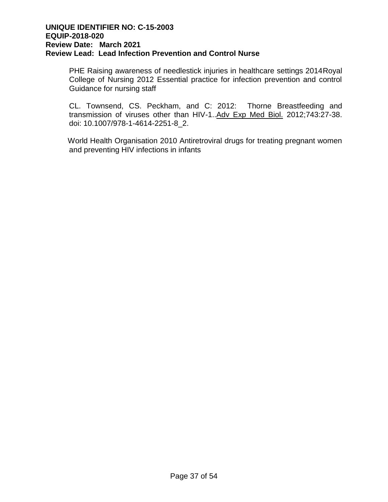PHE Raising awareness of needlestick injuries in healthcare settings 2014Royal College of Nursing 2012 Essential practice for infection prevention and control Guidance for nursing staff

CL. Townsend, CS. Peckham, and C: 2012: Thorne Breastfeeding and transmission of viruses other than HIV-1.[.Adv Exp Med Biol.](http://www.ncbi.nlm.nih.gov/pubmed/22454339) 2012;743:27-38. doi: 10.1007/978-1-4614-2251-8\_2.

World Health Organisation 2010 Antiretroviral drugs for treating pregnant women and preventing HIV infections in infants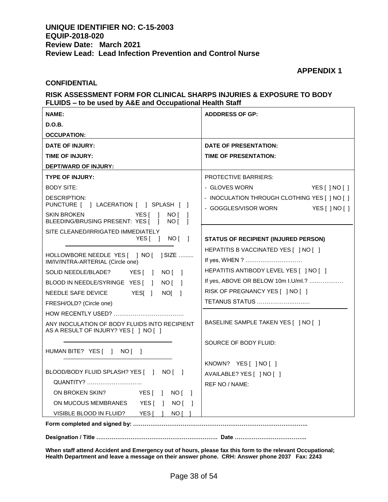#### **APPENDIX 1**

#### **CONFIDENTIAL**

#### **RISK ASSESSMENT FORM FOR CLINICAL SHARPS INJURIES & EXPOSURE TO BODY FLUIDS – to be used by A&E and Occupational Health Staff**

| <b>NAME:</b>                                                                                                         | <b>ADDDRESS OF GP:</b>                                                                  |
|----------------------------------------------------------------------------------------------------------------------|-----------------------------------------------------------------------------------------|
| <b>D.O.B.</b>                                                                                                        |                                                                                         |
| <b>OCCUPATION:</b>                                                                                                   |                                                                                         |
| <b>DATE OF INJURY:</b>                                                                                               | <b>DATE OF PRESENTATION:</b>                                                            |
| <b>TIME OF INJURY:</b>                                                                                               | <b>TIME OF PRESENTATION:</b>                                                            |
| DEPT/WARD OF INJURY:                                                                                                 |                                                                                         |
| <b>TYPE OF INJURY:</b>                                                                                               | <b>PROTECTIVE BARRIERS:</b>                                                             |
| <b>BODY SITE:</b>                                                                                                    | - GLOVES WORN<br>YES[]NO[]                                                              |
| <b>DESCRIPTION:</b><br>PUNCTURE [ ] LACERATION [ ] SPLASH [ ]                                                        | - INOCULATION THROUGH CLOTHING YES [ ] NO [ ]<br>- GOGGLES/VISOR WORN<br>YES [ ] NO [ ] |
| SKIN BROKEN<br>YES [<br>- 1<br>NO [ ]<br>BLEEDING/BRUSING PRESENT: YES [<br>NO [<br>$\overline{1}$<br>$\overline{1}$ |                                                                                         |
| SITE CLEANED/IRRIGATED IMMEDIATELY                                                                                   |                                                                                         |
| YES[ ] NO[ ]                                                                                                         | <b>STATUS OF RECIPIENT (INJURED PERSON)</b>                                             |
| IM/IV/INTRA-ARTERIAL (Circle one)                                                                                    | HEPATITIS B VACCINATED YES [ ] NO [ ]<br>If yes, WHEN ?                                 |
| SOLID NEEDLE/BLADE?<br>YESI 1<br>NO [ ]                                                                              | HEPATITIS ANTIBODY LEVEL YES [ ] NO [ ]                                                 |
| BLOOD IN NEEDLE/SYRINGE YES [ ] NO [ ]                                                                               | If yes, ABOVE OR BELOW 10m I.U/ml.?                                                     |
| NEEDLE SAFE DEVICE<br>YESI 1<br>NOI 1                                                                                | RISK OF PREGNANCY YES [ ] NO [ ]                                                        |
| FRESH/OLD? (Circle one)                                                                                              | TETANUS STATUS                                                                          |
|                                                                                                                      |                                                                                         |
| ANY INOCULATION OF BODY FLUIDS INTO RECIPIENT<br>AS A RESULT OF INJURY? YES [ ] NO [ ]                               | BASELINE SAMPLE TAKEN YES [ ] NO [ ]                                                    |
|                                                                                                                      | SOURCE OF BODY FLUID:                                                                   |
| HUMAN BITE? YES [ ] NO [ ]                                                                                           |                                                                                         |
|                                                                                                                      | KNOWN? YES[ ]NO[ ]                                                                      |
| BLOOD/BODY FLUID SPLASH? YES [ ] NO [ ]                                                                              | AVAILABLE? YES [ ] NO [ ]                                                               |
| QUANTITY?                                                                                                            | <b>REF NO / NAME:</b>                                                                   |
| ON BROKEN SKIN?<br>YESI INOI I                                                                                       |                                                                                         |
| ON MUCOUS MEMBRANES YES [ ] NO [ ]                                                                                   |                                                                                         |
| VISIBLE BLOOD IN FLUID? YES [ ]<br>NO [                                                                              |                                                                                         |
| Form completed and signed by:                                                                                        |                                                                                         |

**Designation / Title ………………………………………………………. Date ………………………………..**

**When staff attend Accident and Emergency out of hours, please fax this form to the relevant Occupational; Health Department and leave a message on their answer phone. CRH: Answer phone 2037 Fax: 2243**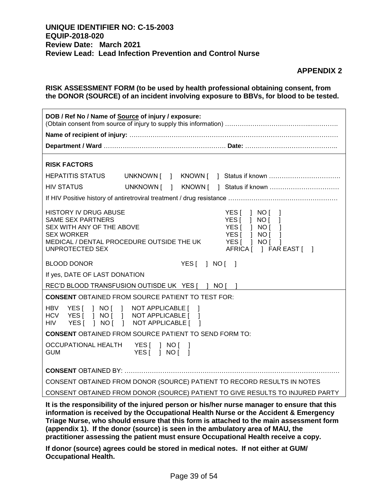#### **APPENDIX 2**

| RISK ASSESSMENT FORM (to be used by health professional obtaining consent, from       |
|---------------------------------------------------------------------------------------|
| the DONOR (SOURCE) of an incident involving exposure to BBVs, for blood to be tested. |

| DOB / Ref No / Name of Source of injury / exposure:                                                                                                                                                                                                                                             |            |  |  |  |
|-------------------------------------------------------------------------------------------------------------------------------------------------------------------------------------------------------------------------------------------------------------------------------------------------|------------|--|--|--|
|                                                                                                                                                                                                                                                                                                 |            |  |  |  |
|                                                                                                                                                                                                                                                                                                 |            |  |  |  |
| <b>RISK FACTORS</b>                                                                                                                                                                                                                                                                             |            |  |  |  |
| <b>HEPATITIS STATUS</b>                                                                                                                                                                                                                                                                         |            |  |  |  |
| <b>HIV STATUS</b>                                                                                                                                                                                                                                                                               | UNKNOWN [  |  |  |  |
|                                                                                                                                                                                                                                                                                                 |            |  |  |  |
| <b>HISTORY IV DRUG ABUSE</b><br>YES[ ] NO[ ]<br><b>SAME SEX PARTNERS</b><br>YES   NO  <br>1<br>YES[ ] NO [<br>SEX WITH ANY OF THE ABOVE<br>$\Box$<br><b>SEX WORKER</b><br>YES[ ] NO[<br>MEDICAL / DENTAL PROCEDURE OUTSIDE THE UK<br>YES[ ] NO[ ]<br>UNPROTECTED SEX<br>AFRICA [ ] FAR EAST [ ] |            |  |  |  |
| <b>BLOOD DONOR</b>                                                                                                                                                                                                                                                                              | YES[   NO[ |  |  |  |
| If yes, DATE OF LAST DONATION                                                                                                                                                                                                                                                                   |            |  |  |  |
| REC'D BLOOD TRANSFUSION OUTISDE UK YES [ ] NO [ ]                                                                                                                                                                                                                                               |            |  |  |  |
| <b>CONSENT OBTAINED FROM SOURCE PATIENT TO TEST FOR:</b>                                                                                                                                                                                                                                        |            |  |  |  |
| <b>HBV</b><br>] NO [ ]<br>YES [<br>NOT APPLICABLE [<br>-1<br>YES [ ] NO [ ] NOT APPLICABLE [ ]<br><b>HCV</b><br><b>HIV</b><br>YES[   NO[  <br>NOT APPLICABLE [ ]                                                                                                                                |            |  |  |  |
| <b>CONSENT OBTAINED FROM SOURCE PATIENT TO SEND FORM TO:</b>                                                                                                                                                                                                                                    |            |  |  |  |
| OCCUPATIONAL HEALTH<br>YES[   NO[  <br>YES[ ] NO[ ]<br><b>GUM</b>                                                                                                                                                                                                                               |            |  |  |  |
|                                                                                                                                                                                                                                                                                                 |            |  |  |  |
| CONSENT OBTAINED FROM DONOR (SOURCE) PATIENT TO RECORD RESULTS IN NOTES                                                                                                                                                                                                                         |            |  |  |  |
| CONSENT OBTAINED FROM DONOR (SOURCE) PATIENT TO GIVE RESULTS TO INJURED PARTY                                                                                                                                                                                                                   |            |  |  |  |
| It is the responsibility of the injured person or his/her nurse manager to ensure that this                                                                                                                                                                                                     |            |  |  |  |

**information is received by the Occupational Health Nurse or the Accident & Emergency Triage Nurse, who should ensure that this form is attached to the main assessment form (appendix 1). If the donor (source) is seen in the ambulatory area of MAU, the practitioner assessing the patient must ensure Occupational Health receive a copy.**

**If donor (source) agrees could be stored in medical notes. If not either at GUM/ Occupational Health.**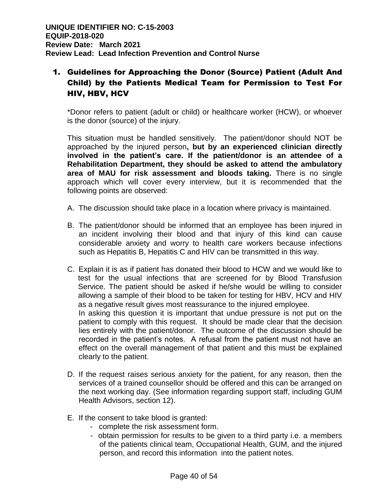# 1. Guidelines for Approaching the Donor (Source) Patient (Adult And Child) by the Patients Medical Team for Permission to Test For HIV, HBV, HCV

\*Donor refers to patient (adult or child) or healthcare worker (HCW), or whoever is the donor (source) of the injury.

This situation must be handled sensitively. The patient/donor should NOT be approached by the injured person**, but by an experienced clinician directly involved in the patient's care. If the patient/donor is an attendee of a Rehabilitation Department, they should be asked to attend the ambulatory area of MAU for risk assessment and bloods taking.** There is no single approach which will cover every interview, but it is recommended that the following points are observed:

- A. The discussion should take place in a location where privacy is maintained.
- B. The patient/donor should be informed that an employee has been injured in an incident involving their blood and that injury of this kind can cause considerable anxiety and worry to health care workers because infections such as Hepatitis B, Hepatitis C and HIV can be transmitted in this way.
- C. Explain it is as if patient has donated their blood to HCW and we would like to test for the usual infections that are screened for by Blood Transfusion Service. The patient should be asked if he/she would be willing to consider allowing a sample of their blood to be taken for testing for HBV, HCV and HIV as a negative result gives most reassurance to the injured employee. In asking this question it is important that undue pressure is not put on the patient to comply with this request. It should be made clear that the decision lies entirely with the patient/donor. The outcome of the discussion should be recorded in the patient's notes. A refusal from the patient must not have an effect on the overall management of that patient and this must be explained clearly to the patient.
- D. If the request raises serious anxiety for the patient, for any reason, then the services of a trained counsellor should be offered and this can be arranged on the next working day. (See information regarding support staff, including GUM Health Advisors, section 12).
- E. If the consent to take blood is granted:
	- complete the risk assessment form.
	- obtain permission for results to be given to a third party i.e. a members of the patients clinical team, Occupational Health, GUM, and the injured person, and record this information into the patient notes.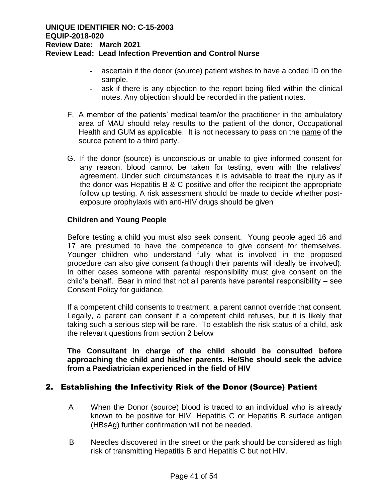- ascertain if the donor (source) patient wishes to have a coded ID on the sample.
- ask if there is any objection to the report being filed within the clinical notes. Any objection should be recorded in the patient notes.
- F. A member of the patients' medical team/or the practitioner in the ambulatory area of MAU should relay results to the patient of the donor, Occupational Health and GUM as applicable. It is not necessary to pass on the name of the source patient to a third party.
- G. If the donor (source) is unconscious or unable to give informed consent for any reason, blood cannot be taken for testing, even with the relatives' agreement. Under such circumstances it is advisable to treat the injury as if the donor was Hepatitis B & C positive and offer the recipient the appropriate follow up testing. A risk assessment should be made to decide whether postexposure prophylaxis with anti-HIV drugs should be given

### **Children and Young People**

Before testing a child you must also seek consent. Young people aged 16 and 17 are presumed to have the competence to give consent for themselves. Younger children who understand fully what is involved in the proposed procedure can also give consent (although their parents will ideally be involved). In other cases someone with parental responsibility must give consent on the child's behalf. Bear in mind that not all parents have parental responsibility – see Consent Policy for guidance.

If a competent child consents to treatment, a parent cannot override that consent. Legally, a parent can consent if a competent child refuses, but it is likely that taking such a serious step will be rare. To establish the risk status of a child, ask the relevant questions from section 2 below

### **The Consultant in charge of the child should be consulted before approaching the child and his/her parents. He/She should seek the advice from a Paediatrician experienced in the field of HIV**

# 2. Establishing the Infectivity Risk of the Donor (Source) Patient

- A When the Donor (source) blood is traced to an individual who is already known to be positive for HIV, Hepatitis C or Hepatitis B surface antigen (HBsAg) further confirmation will not be needed.
- B Needles discovered in the street or the park should be considered as high risk of transmitting Hepatitis B and Hepatitis C but not HIV.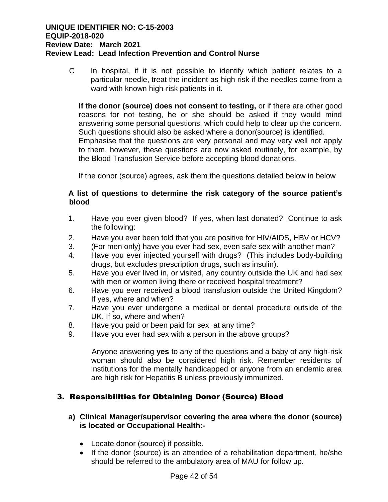C In hospital, if it is not possible to identify which patient relates to a particular needle, treat the incident as high risk if the needles come from a ward with known high-risk patients in it.

**If the donor (source) does not consent to testing,** or if there are other good reasons for not testing, he or she should be asked if they would mind answering some personal questions, which could help to clear up the concern. Such questions should also be asked where a donor(source) is identified. Emphasise that the questions are very personal and may very well not apply to them, however, these questions are now asked routinely, for example, by the Blood Transfusion Service before accepting blood donations.

If the donor (source) agrees, ask them the questions detailed below in below

### **A list of questions to determine the risk category of the source patient's blood**

- 1. Have you ever given blood? If yes, when last donated? Continue to ask the following:
- 2. Have you ever been told that you are positive for HIV/AIDS, HBV or HCV?
- 3. (For men only) have you ever had sex, even safe sex with another man?
- 4. Have you ever injected yourself with drugs? (This includes body-building drugs, but excludes prescription drugs, such as insulin).
- 5. Have you ever lived in, or visited, any country outside the UK and had sex with men or women living there or received hospital treatment?
- 6. Have you ever received a blood transfusion outside the United Kingdom? If yes, where and when?
- 7. Have you ever undergone a medical or dental procedure outside of the UK. If so, where and when?
- 8. Have you paid or been paid for sex at any time?
- 9. Have you ever had sex with a person in the above groups?

Anyone answering **yes** to any of the questions and a baby of any high-risk woman should also be considered high risk. Remember residents of institutions for the mentally handicapped or anyone from an endemic area are high risk for Hepatitis B unless previously immunized.

# 3. Responsibilities for Obtaining Donor (Source) Blood

### **a) Clinical Manager/supervisor covering the area where the donor (source) is located or Occupational Health:-**

- Locate donor (source) if possible.
- If the donor (source) is an attendee of a rehabilitation department, he/she should be referred to the ambulatory area of MAU for follow up.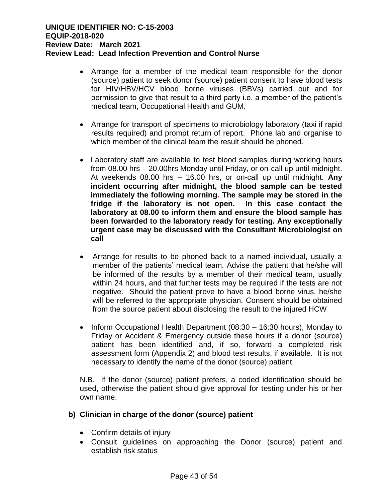- Arrange for a member of the medical team responsible for the donor (source) patient to seek donor (source) patient consent to have blood tests for HIV/HBV/HCV blood borne viruses (BBVs) carried out and for permission to give that result to a third party i.e. a member of the patient's medical team, Occupational Health and GUM.
- Arrange for transport of specimens to microbiology laboratory (taxi if rapid results required) and prompt return of report. Phone lab and organise to which member of the clinical team the result should be phoned.
- Laboratory staff are available to test blood samples during working hours from 08.00 hrs – 20.00hrs Monday until Friday, or on-call up until midnight. At weekends 08.00 hrs – 16.00 hrs, or on-call up until midnight. **Any incident occurring after midnight, the blood sample can be tested immediately the following morning. The sample may be stored in the fridge if the laboratory is not open. In this case contact the laboratory at 08.00 to inform them and ensure the blood sample has been forwarded to the laboratory ready for testing. Any exceptionally urgent case may be discussed with the Consultant Microbiologist on call**
- Arrange for results to be phoned back to a named individual, usually a member of the patients' medical team. Advise the patient that he/she will be informed of the results by a member of their medical team, usually within 24 hours, and that further tests may be required if the tests are not negative. Should the patient prove to have a blood borne virus, he/she will be referred to the appropriate physician. Consent should be obtained from the source patient about disclosing the result to the injured HCW
- Inform Occupational Health Department  $(08:30 16:30$  hours), Monday to Friday or Accident & Emergency outside these hours if a donor (source) patient has been identified and, if so, forward a completed risk assessment form (Appendix 2) and blood test results, if available. It is not necessary to identify the name of the donor (source) patient

N.B. If the donor (source) patient prefers, a coded identification should be used, otherwise the patient should give approval for testing under his or her own name.

### **b) Clinician in charge of the donor (source) patient**

- Confirm details of injury
- Consult guidelines on approaching the Donor (source) patient and establish risk status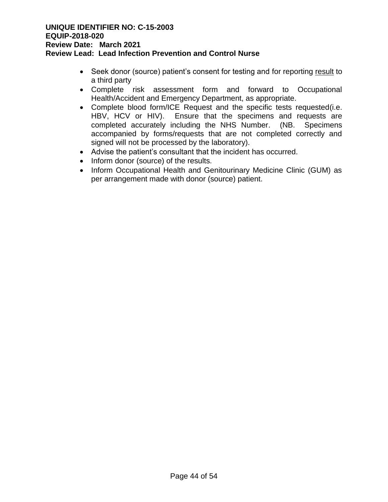- Seek donor (source) patient's consent for testing and for reporting result to a third party
- Complete risk assessment form and forward to Occupational Health/Accident and Emergency Department, as appropriate.
- Complete blood form/ICE Request and the specific tests requested(i.e. HBV, HCV or HIV). Ensure that the specimens and requests are completed accurately including the NHS Number. (NB. Specimens accompanied by forms/requests that are not completed correctly and signed will not be processed by the laboratory).
- Advise the patient's consultant that the incident has occurred.
- Inform donor (source) of the results.
- Inform Occupational Health and Genitourinary Medicine Clinic (GUM) as per arrangement made with donor (source) patient.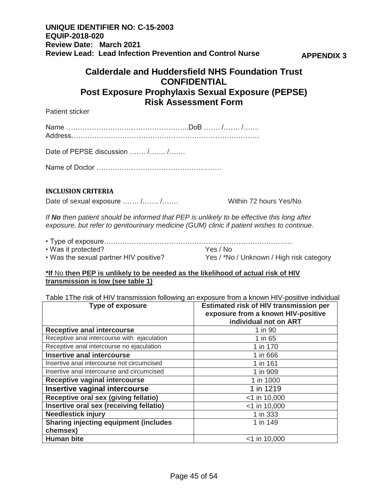# **Calderdale and Huddersfield NHS Foundation Trust CONFIDENTIAL Post Exposure Prophylaxis Sexual Exposure (PEPSE) Risk Assessment Form**

Patient sticker

Name ……………………………………………..DoB ……. /……. /……. Address………………………………………………………………………

Date of PEPSE discussion ....... /....... /.......

Name of Doctor ………………………………………………

### **INCLUSION CRITERIA**

Date of sexual exposure ……. /……. /……. Within 72 hours Yes/No

*If No then patient should be informed that PEP is unlikely to be effective this long after exposure, but refer to genitourinary medicine (GUM) clinic if patient wishes to continue.*

| • Was it protected?                    | Yes / No                                 |
|----------------------------------------|------------------------------------------|
| . Was the sexual partner HIV positive? | Yes / *No / Unknown / High risk category |

#### **\*If** No **then PEP is unlikely to be needed as the likelihood of actual risk of HIV transmission is low (see table 1)**

Table 1The risk of HIV transmission following an exposure from a known HIV-positive individual

| <b>Type of exposure</b>                      | <b>Estimated risk of HIV transmission per</b><br>exposure from a known HIV-positive<br>individual not on ART |
|----------------------------------------------|--------------------------------------------------------------------------------------------------------------|
| <b>Receptive anal intercourse</b>            | 1 in 90                                                                                                      |
| Receptive anal intercourse with ejaculation  | 1 in 65                                                                                                      |
| Receptive anal intercourse no ejaculation    | 1 in 170                                                                                                     |
| <b>Insertive anal intercourse</b>            | 1 in 666                                                                                                     |
| Insertive anal intercourse not circumcised   | 1 in 161                                                                                                     |
| Insertive anal intercourse and circumcised   | 1 in 909                                                                                                     |
| <b>Receptive vaginal intercourse</b>         | 1 in 1000                                                                                                    |
| <b>Insertive vaginal intercourse</b>         | 1 in 1219                                                                                                    |
| Receptive oral sex (giving fellatio)         | $<$ 1 in 10,000                                                                                              |
| Insertive oral sex (receiving fellatio)      | $<$ 1 in 10,000                                                                                              |
| <b>Needlestick injury</b>                    | 1 in 333                                                                                                     |
| <b>Sharing injecting equipment (includes</b> | 1 in 149                                                                                                     |
| chemsex)                                     |                                                                                                              |
| <b>Human bite</b>                            | $<$ 1 in 10,000                                                                                              |

**APPENDIX 3**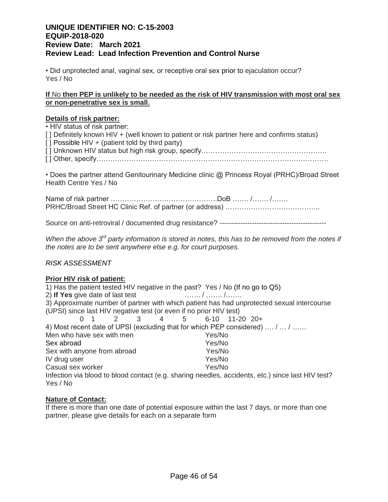• Did unprotected anal, vaginal sex, or receptive oral sex prior to ejaculation occur? Yes / No

#### **If** No **then PEP is unlikely to be needed as the risk of HIV transmission with most oral sex or non-penetrative sex is small.**

#### **Details of risk partner:**

• HIV status of risk partner: [] Definitely known HIV + (well known to patient or risk partner here and confirms status)  $\lceil$  | Possible HIV + (patient told by third party) [] Unknown HIV status but high risk group, specify……………………………………………………………………………… [ ] Other, specify……………………………………………………………………………………….

• Does the partner attend Genitourinary Medicine clinic @ Princess Royal (PRHC)/Broad Street Health Centre Yes / No

Name of risk partner ……………………………………………DoB ……… /……… PRHC/Broad Street HC Clinic Ref. of partner (or address) …………………………………..

Source on anti-retroviral / documented drug resistance? ----------------------------------------------

*When the above 3rd party information is stored in notes, this has to be removed from the notes if the notes are to be sent anywhere else e.g. for court purposes.*

#### *RISK ASSESSMENT*

#### **Prior HIV risk of patient:**

1) Has the patient tested HIV negative in the past? Yes / No (If no go to Q5) 2) **If Yes** give date of last test ……. / ……. /……. 3) Approximate number of partner with which patient has had unprotected sexual intercourse (UPSI) since last HIV negative test (or even if no prior HIV test) 0 1 2 3 4 5 6-10 11-20 20+ 4) Most recent date of UPSI (excluding that for which PEP considered) …. / … / …… Men who have sex with men yes/No Sex abroad Yes/No Sex with anyone from abroad Yes/No IV drug user No. 2008 and Nest Yes/No. 2009 Casual sex worker The Yes/No Infection via blood to blood contact (e.g. sharing needles, accidents, etc.) since last HIV test? Yes / No

#### **Nature of Contact:**

If there is more than one date of potential exposure within the last 7 days, or more than one partner, please give details for each on a separate form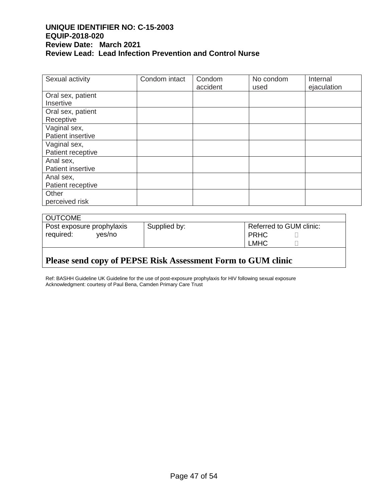| Sexual activity   | Condom intact | Condom   | No condom | Internal    |
|-------------------|---------------|----------|-----------|-------------|
|                   |               | accident | used      | ejaculation |
| Oral sex, patient |               |          |           |             |
| Insertive         |               |          |           |             |
| Oral sex, patient |               |          |           |             |
| Receptive         |               |          |           |             |
| Vaginal sex,      |               |          |           |             |
| Patient insertive |               |          |           |             |
| Vaginal sex,      |               |          |           |             |
| Patient receptive |               |          |           |             |
| Anal sex,         |               |          |           |             |
| Patient insertive |               |          |           |             |
| Anal sex,         |               |          |           |             |
| Patient receptive |               |          |           |             |
| Other             |               |          |           |             |
| perceived risk    |               |          |           |             |

| <b>OUTCOME</b>            |              |                         |  |
|---------------------------|--------------|-------------------------|--|
| Post exposure prophylaxis | Supplied by: | Referred to GUM clinic: |  |
| required:<br>ves/no       |              | PRHC                    |  |
|                           |              | <b>LMHC</b>             |  |
|                           |              |                         |  |

# **Please send copy of PEPSE Risk Assessment Form to GUM clinic**

Ref: BASHH Guideline UK Guideline for the use of post-exposure prophylaxis for HIV following sexual exposure Acknowledgment: courtesy of Paul Bena, Camden Primary Care Trust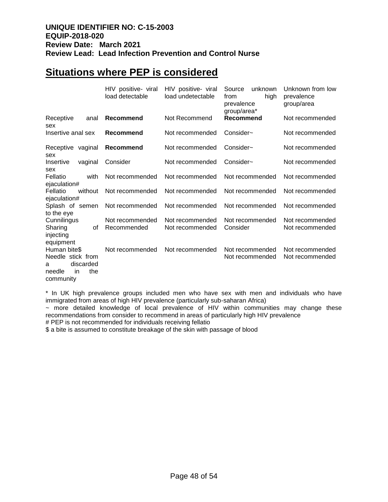# **Situations where PEP is considered**

|                                                                                  |         | HIV positive- viral<br>load detectable | HIV positive- viral<br>load undetectable | unknown<br>Source<br>high<br>from<br>prevalence<br>group/area* | Unknown from low<br>prevalence<br>group/area |
|----------------------------------------------------------------------------------|---------|----------------------------------------|------------------------------------------|----------------------------------------------------------------|----------------------------------------------|
| Receptive<br>sex                                                                 | anal    | Recommend                              | Not Recommend                            | Recommend                                                      | Not recommended                              |
| Insertive anal sex                                                               |         | Recommend                              | Not recommended                          | Consider~                                                      | Not recommended                              |
| Receptive vaginal<br>sex                                                         |         | Recommend                              | Not recommended                          | Consider~                                                      | Not recommended                              |
| Insertive<br>sex                                                                 | vaginal | Consider                               | Not recommended                          | Consider~                                                      | Not recommended                              |
| Fellatio<br>ejaculation#                                                         | with    | Not recommended                        | Not recommended                          | Not recommended                                                | Not recommended                              |
| Fellatio<br>ejaculation#                                                         | without | Not recommended                        | Not recommended                          | Not recommended                                                | Not recommended                              |
| Splash of semen<br>to the eye                                                    |         | Not recommended                        | Not recommended                          | Not recommended                                                | Not recommended                              |
| Cunnilingus<br>Sharing<br>injecting<br>equipment                                 | οf      | Not recommended<br>Recommended         | Not recommended<br>Not recommended       | Not recommended<br>Consider                                    | Not recommended<br>Not recommended           |
| Human bite\$<br>Needle stick from<br>discarded<br>a<br>needle<br>in<br>community | the     | Not recommended                        | Not recommended                          | Not recommended<br>Not recommended                             | Not recommended<br>Not recommended           |

\* In UK high prevalence groups included men who have sex with men and individuals who have immigrated from areas of high HIV prevalence (particularly sub-saharan Africa)

~ more detailed knowledge of local prevalence of HIV within communities may change these recommendations from consider to recommend in areas of particularly high HIV prevalence

# PEP is not recommended for individuals receiving fellatio

\$ a bite is assumed to constitute breakage of the skin with passage of blood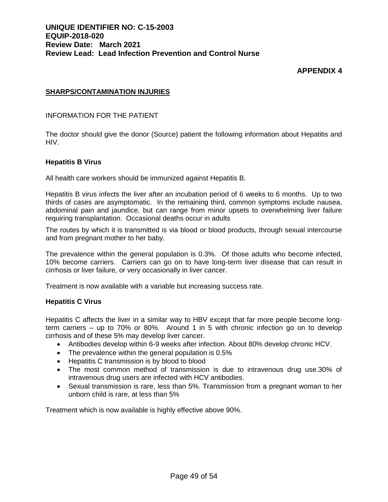# **APPENDIX 4**

#### **SHARPS/CONTAMINATION INJURIES**

#### INFORMATION FOR THE PATIENT

The doctor should give the donor (Source) patient the following information about Hepatitis and HIV.

#### **Hepatitis B Virus**

All health care workers should be immunized against Hepatitis B.

Hepatitis B virus infects the liver after an incubation period of 6 weeks to 6 months. Up to two thirds of cases are asymptomatic. In the remaining third, common symptoms include nausea, abdominal pain and jaundice, but can range from minor upsets to overwhelming liver failure requiring transplantation. Occasional deaths occur in adults

The routes by which it is transmitted is via blood or blood products, through sexual intercourse and from pregnant mother to her baby.

The prevalence within the general population is 0.3%. Of those adults who become infected, 10% become carriers. Carriers can go on to have long-term liver disease that can result in cirrhosis or liver failure, or very occasionally in liver cancer.

Treatment is now available with a variable but increasing success rate.

#### **Hepatitis C Virus**

Hepatitis C affects the liver in a similar way to HBV except that far more people become longterm carriers – up to 70% or 80%. Around 1 in 5 with chronic infection go on to develop cirrhosis and of these 5% may develop liver cancer.

- Antibodies develop within 6-9 weeks after infection. About 80% develop chronic HCV.
- The prevalence within the general population is 0.5%
- Hepatitis C transmission is by blood to blood
- The most common method of transmission is due to intravenous drug use.30% of intravenous drug users are infected with HCV antibodies.
- Sexual transmission is rare, less than 5%. Transmission from a pregnant woman to her unborn child is rare, at less than 5%

Treatment which is now available is highly effective above 90%.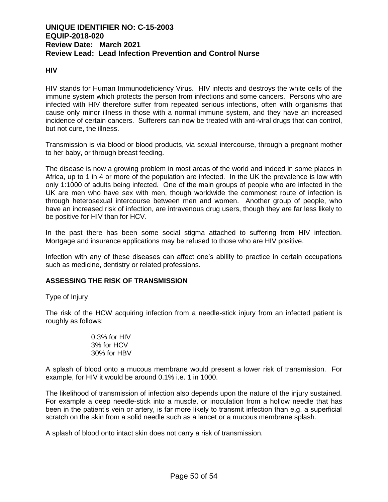#### **HIV**

HIV stands for Human Immunodeficiency Virus. HIV infects and destroys the white cells of the immune system which protects the person from infections and some cancers. Persons who are infected with HIV therefore suffer from repeated serious infections, often with organisms that cause only minor illness in those with a normal immune system, and they have an increased incidence of certain cancers. Sufferers can now be treated with anti-viral drugs that can control, but not cure, the illness.

Transmission is via blood or blood products, via sexual intercourse, through a pregnant mother to her baby, or through breast feeding.

The disease is now a growing problem in most areas of the world and indeed in some places in Africa, up to 1 in 4 or more of the population are infected. In the UK the prevalence is low with only 1:1000 of adults being infected. One of the main groups of people who are infected in the UK are men who have sex with men, though worldwide the commonest route of infection is through heterosexual intercourse between men and women. Another group of people, who have an increased risk of infection, are intravenous drug users, though they are far less likely to be positive for HIV than for HCV.

In the past there has been some social stigma attached to suffering from HIV infection. Mortgage and insurance applications may be refused to those who are HIV positive.

Infection with any of these diseases can affect one's ability to practice in certain occupations such as medicine, dentistry or related professions.

#### **ASSESSING THE RISK OF TRANSMISSION**

#### Type of Injury

The risk of the HCW acquiring infection from a needle-stick injury from an infected patient is roughly as follows:

> 0.3% for HIV 3% for HCV 30% for HBV

A splash of blood onto a mucous membrane would present a lower risk of transmission. For example, for HIV it would be around 0.1% i.e. 1 in 1000.

The likelihood of transmission of infection also depends upon the nature of the injury sustained. For example a deep needle-stick into a muscle, or inoculation from a hollow needle that has been in the patient's vein or artery, is far more likely to transmit infection than e.g. a superficial scratch on the skin from a solid needle such as a lancet or a mucous membrane splash.

A splash of blood onto intact skin does not carry a risk of transmission.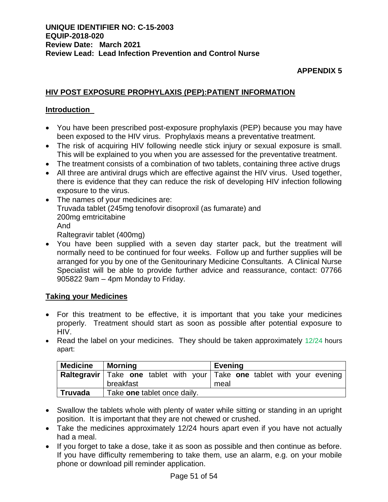# **APPENDIX 5**

# **HIV POST EXPOSURE PROPHYLAXIS (PEP):PATIENT INFORMATION**

### **Introduction**

- You have been prescribed post-exposure prophylaxis (PEP) because you may have been exposed to the HIV virus. Prophylaxis means a preventative treatment.
- The risk of acquiring HIV following needle stick injury or sexual exposure is small. This will be explained to you when you are assessed for the preventative treatment.
- The treatment consists of a combination of two tablets, containing three active drugs
- All three are antiviral drugs which are effective against the HIV virus. Used together, there is evidence that they can reduce the risk of developing HIV infection following exposure to the virus.
- The names of your medicines are: Truvada tablet (245mg tenofovir disoproxil (as fumarate) and 200mg emtricitabine And Raltegravir tablet (400mg)
- You have been supplied with a seven day starter pack, but the treatment will normally need to be continued for four weeks. Follow up and further supplies will be arranged for you by one of the Genitourinary Medicine Consultants. A Clinical Nurse Specialist will be able to provide further advice and reassurance, contact: 07766 905822 9am – 4pm Monday to Friday.

### **Taking your Medicines**

- For this treatment to be effective, it is important that you take your medicines properly. Treatment should start as soon as possible after potential exposure to HIV.
- Read the label on your medicines. They should be taken approximately  $12/24$  hours apart:

| <b>Medicine</b> | <b>Morning</b>              | <b>Evening</b>                                                                 |
|-----------------|-----------------------------|--------------------------------------------------------------------------------|
|                 |                             | <b>Raltegravir</b> Take one tablet with your Take one tablet with your evening |
|                 | breakfast                   | meal                                                                           |
| <b>Truvada</b>  | Take one tablet once daily. |                                                                                |

- Swallow the tablets whole with plenty of water while sitting or standing in an upright position. It is important that they are not chewed or crushed.
- Take the medicines approximately 12/24 hours apart even if you have not actually had a meal.
- If you forget to take a dose, take it as soon as possible and then continue as before. If you have difficulty remembering to take them, use an alarm, e.g. on your mobile phone or download pill reminder application.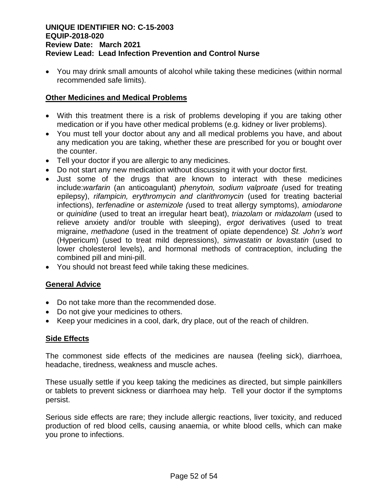You may drink small amounts of alcohol while taking these medicines (within normal recommended safe limits).

# **Other Medicines and Medical Problems**

- With this treatment there is a risk of problems developing if you are taking other medication or if you have other medical problems (e.g. kidney or liver problems).
- You must tell your doctor about any and all medical problems you have, and about any medication you are taking, whether these are prescribed for you or bought over the counter.
- Tell your doctor if you are allergic to any medicines.
- Do not start any new medication without discussing it with your doctor first.
- Just some of the drugs that are known to interact with these medicines include:*warfarin* (an anticoagulant) *phenytoin, sodium valproate (*used for treating epilepsy), *rifampicin, erythromycin and clarithromycin* (used for treating bacterial infections), *terfenadine* or *astemizole (*used to treat allergy symptoms), *amiodarone*  or *quinidine* (used to treat an irregular heart beat), *triazolam* or *midazolam* (used to relieve anxiety and/or trouble with sleeping), *ergot* derivatives (used to treat migraine, *methadone* (used in the treatment of opiate dependence) *St. John's wort*  (Hypericum) (used to treat mild depressions), *simvastatin* or *lovastatin* (used to lower cholesterol levels), and hormonal methods of contraception, including the combined pill and mini-pill.
- You should not breast feed while taking these medicines.

# **General Advice**

- Do not take more than the recommended dose.
- Do not give your medicines to others.
- Keep your medicines in a cool, dark, dry place, out of the reach of children.

### **Side Effects**

The commonest side effects of the medicines are nausea (feeling sick), diarrhoea, headache, tiredness, weakness and muscle aches.

These usually settle if you keep taking the medicines as directed, but simple painkillers or tablets to prevent sickness or diarrhoea may help. Tell your doctor if the symptoms persist.

Serious side effects are rare; they include allergic reactions, liver toxicity, and reduced production of red blood cells, causing anaemia, or white blood cells, which can make you prone to infections.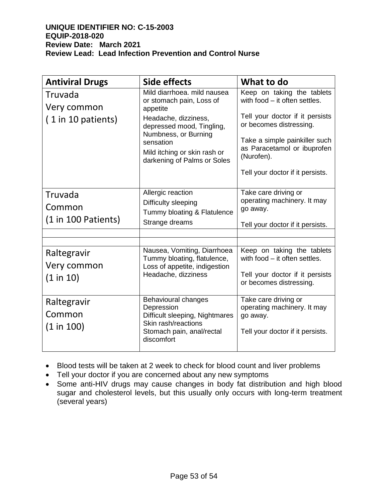| <b>Antiviral Drugs</b>                       | Side effects                                                                                                                                                                                                                 | What to do                                                                                                                                                                                                                                  |
|----------------------------------------------|------------------------------------------------------------------------------------------------------------------------------------------------------------------------------------------------------------------------------|---------------------------------------------------------------------------------------------------------------------------------------------------------------------------------------------------------------------------------------------|
| Truvada<br>Very common<br>(1 in 10 patients) | Mild diarrhoea, mild nausea<br>or stomach pain, Loss of<br>appetite<br>Headache, dizziness,<br>depressed mood, Tingling,<br>Numbness, or Burning<br>sensation<br>Mild itching or skin rash or<br>darkening of Palms or Soles | Keep on taking the tablets<br>with food - it often settles.<br>Tell your doctor if it persists<br>or becomes distressing.<br>Take a simple painkiller such<br>as Paracetamol or ibuprofen<br>(Nurofen).<br>Tell your doctor if it persists. |
| Truvada<br>Common<br>$(1 in 100$ Patients)   | Allergic reaction<br>Difficulty sleeping<br>Tummy bloating & Flatulence<br>Strange dreams                                                                                                                                    | Take care driving or<br>operating machinery. It may<br>go away.<br>Tell your doctor if it persists.                                                                                                                                         |
| Raltegravir<br>Very common<br>(1 in 10)      | Nausea, Vomiting, Diarrhoea<br>Tummy bloating, flatulence,<br>Loss of appetite, indigestion<br>Headache, dizziness                                                                                                           | Keep on taking the tablets<br>with food - it often settles.<br>Tell your doctor if it persists<br>or becomes distressing.                                                                                                                   |
| Raltegravir<br>Common<br>(1 in 100)          | Behavioural changes<br>Depression<br>Difficult sleeping, Nightmares<br>Skin rash/reactions<br>Stomach pain, anal/rectal<br>discomfort                                                                                        | Take care driving or<br>operating machinery. It may<br>go away.<br>Tell your doctor if it persists.                                                                                                                                         |

- Blood tests will be taken at 2 week to check for blood count and liver problems
- Tell your doctor if you are concerned about any new symptoms
- Some anti-HIV drugs may cause changes in body fat distribution and high blood sugar and cholesterol levels, but this usually only occurs with long-term treatment (several years)